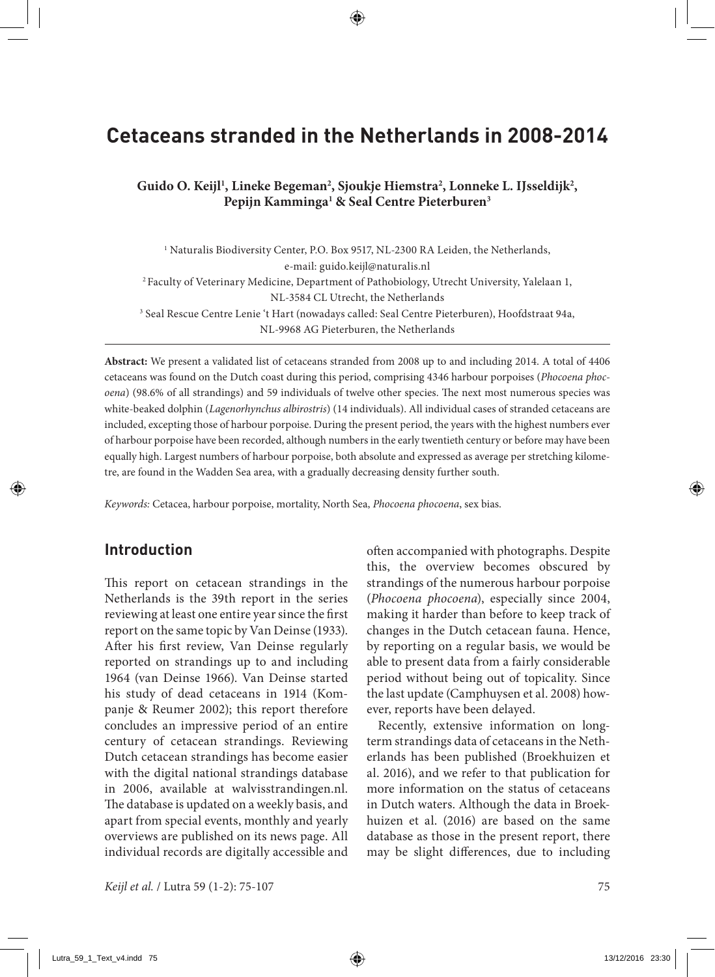# **Cetaceans stranded in the Netherlands in 2008-2014**

Guido O. Keijl<sup>1</sup>, Lineke Begeman<sup>2</sup>, Sjoukje Hiemstra<sup>2</sup>, Lonneke L. IJsseldijk<sup>2</sup>, **Pepijn Kamminga1 & Seal Centre Pieterburen3**

<sup>1</sup> Naturalis Biodiversity Center, P.O. Box 9517, NL-2300 RA Leiden, the Netherlands, e-mail: guido.keijl@naturalis.nl 2 Faculty of Veterinary Medicine, Department of Pathobiology, Utrecht University, Yalelaan 1, NL-3584 CL Utrecht, the Netherlands 3 Seal Rescue Centre Lenie 't Hart (nowadays called: Seal Centre Pieterburen), Hoofdstraat 94a, NL-9968 AG Pieterburen, the Netherlands

**Abstract:** We present a validated list of cetaceans stranded from 2008 up to and including 2014. A total of 4406 cetaceans was found on the Dutch coast during this period, comprising 4346 harbour porpoises (*Phocoena phocoena*) (98.6% of all strandings) and 59 individuals of twelve other species. The next most numerous species was white-beaked dolphin (*Lagenorhynchus albirostris*) (14 individuals). All individual cases of stranded cetaceans are included, excepting those of harbour porpoise. During the present period, the years with the highest numbers ever of harbour porpoise have been recorded, although numbers in the early twentieth century or before may have been equally high. Largest numbers of harbour porpoise, both absolute and expressed as average per stretching kilometre, are found in the Wadden Sea area, with a gradually decreasing density further south.

*Keywords:* Cetacea, harbour porpoise, mortality, North Sea, *Phocoena phocoena*, sex bias.

## **Introduction**

This report on cetacean strandings in the Netherlands is the 39th report in the series reviewing at least one entire year since the first report on the same topic by Van Deinse (1933). After his first review, Van Deinse regularly reported on strandings up to and including 1964 (van Deinse 1966). Van Deinse started his study of dead cetaceans in 1914 (Kompanje & Reumer 2002); this report therefore concludes an impressive period of an entire century of cetacean strandings. Reviewing Dutch cetacean strandings has become easier with the digital national strandings database in 2006, available at walvisstrandingen.nl. The database is updated on a weekly basis, and apart from special events, monthly and yearly overviews are published on its news page. All individual records are digitally accessible and

often accompanied with photographs. Despite this, the overview becomes obscured by strandings of the numerous harbour porpoise (*Phocoena phocoena*), especially since 2004, making it harder than before to keep track of changes in the Dutch cetacean fauna. Hence, by reporting on a regular basis, we would be able to present data from a fairly considerable period without being out of topicality. Since the last update (Camphuysen et al. 2008) however, reports have been delayed.

Recently, extensive information on longterm strandings data of cetaceans in the Netherlands has been published (Broekhuizen et al. 2016), and we refer to that publication for more information on the status of cetaceans in Dutch waters. Although the data in Broekhuizen et al. (2016) are based on the same database as those in the present report, there may be slight differences, due to including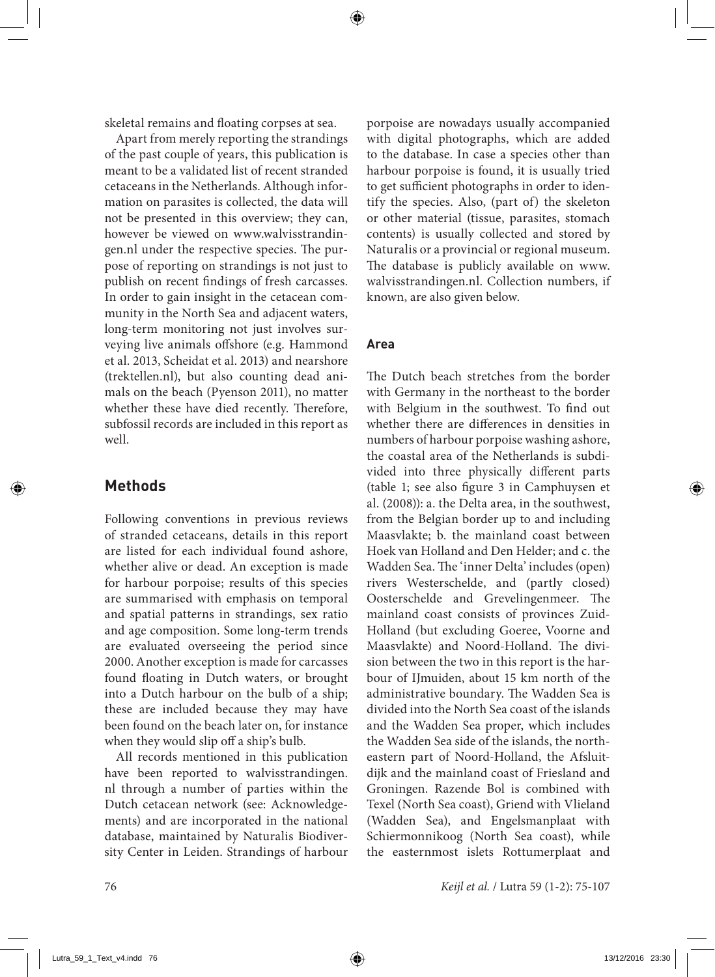skeletal remains and floating corpses at sea.

Apart from merely reporting the strandings of the past couple of years, this publication is meant to be a validated list of recent stranded cetaceans in the Netherlands. Although information on parasites is collected, the data will not be presented in this overview; they can, however be viewed on www.walvisstrandingen.nl under the respective species. The purpose of reporting on strandings is not just to publish on recent findings of fresh carcasses. In order to gain insight in the cetacean community in the North Sea and adjacent waters, long-term monitoring not just involves surveying live animals offshore (e.g. Hammond et al. 2013, Scheidat et al. 2013) and nearshore (trektellen.nl), but also counting dead animals on the beach (Pyenson 2011), no matter whether these have died recently. Therefore, subfossil records are included in this report as well.

## **Methods**

Following conventions in previous reviews of stranded cetaceans, details in this report are listed for each individual found ashore, whether alive or dead. An exception is made for harbour porpoise; results of this species are summarised with emphasis on temporal and spatial patterns in strandings, sex ratio and age composition. Some long-term trends are evaluated overseeing the period since 2000. Another exception is made for carcasses found floating in Dutch waters, or brought into a Dutch harbour on the bulb of a ship; these are included because they may have been found on the beach later on, for instance when they would slip off a ship's bulb.

All records mentioned in this publication have been reported to walvisstrandingen. nl through a number of parties within the Dutch cetacean network (see: Acknowledgements) and are incorporated in the national database, maintained by Naturalis Biodiversity Center in Leiden. Strandings of harbour porpoise are nowadays usually accompanied with digital photographs, which are added to the database. In case a species other than harbour porpoise is found, it is usually tried to get sufficient photographs in order to identify the species. Also, (part of) the skeleton or other material (tissue, parasites, stomach contents) is usually collected and stored by Naturalis or a provincial or regional museum. The database is publicly available on www. walvisstrandingen.nl. Collection numbers, if known, are also given below.

## **Area**

The Dutch beach stretches from the border with Germany in the northeast to the border with Belgium in the southwest. To find out whether there are differences in densities in numbers of harbour porpoise washing ashore, the coastal area of the Netherlands is subdivided into three physically different parts (table 1; see also figure 3 in Camphuysen et al. (2008)): a. the Delta area, in the southwest, from the Belgian border up to and including Maasvlakte; b. the mainland coast between Hoek van Holland and Den Helder; and c. the Wadden Sea. The 'inner Delta' includes (open) rivers Westerschelde, and (partly closed) Oosterschelde and Grevelingenmeer. The mainland coast consists of provinces Zuid-Holland (but excluding Goeree, Voorne and Maasvlakte) and Noord-Holland. The division between the two in this report is the harbour of IJmuiden, about 15 km north of the administrative boundary. The Wadden Sea is divided into the North Sea coast of the islands and the Wadden Sea proper, which includes the Wadden Sea side of the islands, the northeastern part of Noord-Holland, the Afsluitdijk and the mainland coast of Friesland and Groningen. Razende Bol is combined with Texel (North Sea coast), Griend with Vlieland (Wadden Sea), and Engelsmanplaat with Schiermonnikoog (North Sea coast), while the easternmost islets Rottumerplaat and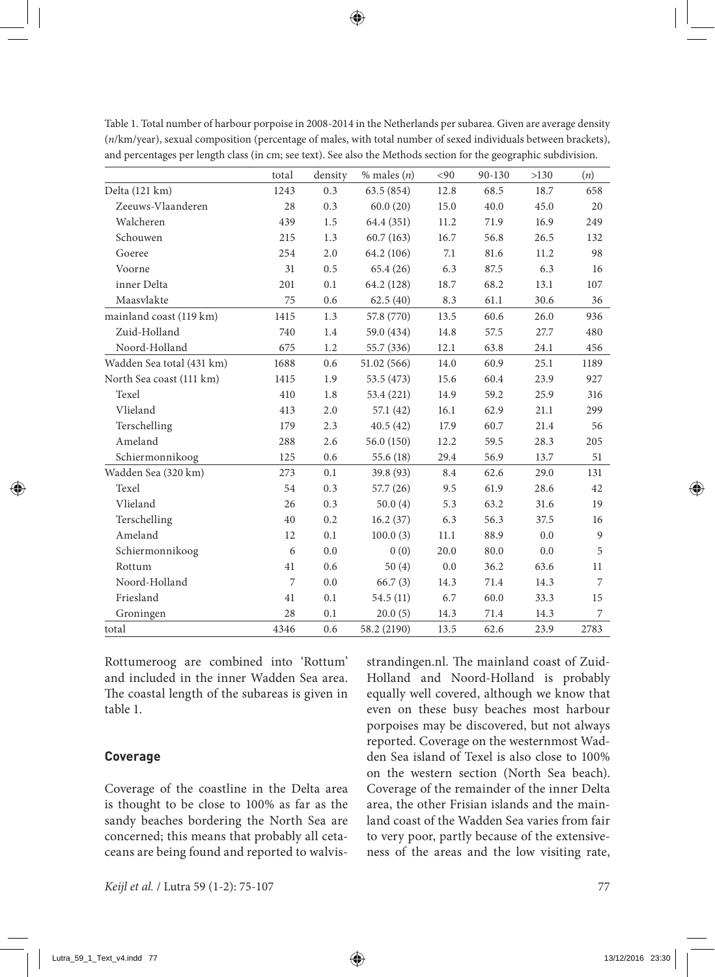|                           | total | density | $%$ males $(n)$ | <90  | 90-130 | >130 | (n)  |
|---------------------------|-------|---------|-----------------|------|--------|------|------|
| Delta (121 km)            | 1243  | 0.3     | 63.5 (854)      | 12.8 | 68.5   | 18.7 | 658  |
| Zeeuws-Vlaanderen         | 28    | 0.3     | 60.0(20)        | 15.0 | 40.0   | 45.0 | 20   |
| Walcheren                 | 439   | 1.5     | 64.4 (351)      | 11.2 | 71.9   | 16.9 | 249  |
| Schouwen                  | 215   | 1.3     | 60.7(163)       | 16.7 | 56.8   | 26.5 | 132  |
| Goeree                    | 254   | 2.0     | 64.2 (106)      | 7.1  | 81.6   | 11.2 | 98   |
| Voorne                    | 31    | 0.5     | 65.4(26)        | 6.3  | 87.5   | 6.3  | 16   |
| inner Delta               | 201   | 0.1     | 64.2 (128)      | 18.7 | 68.2   | 13.1 | 107  |
| Maasylakte                | 75    | 0.6     | 62.5(40)        | 8.3  | 61.1   | 30.6 | 36   |
| mainland coast (119 km)   | 1415  | 1.3     | 57.8 (770)      | 13.5 | 60.6   | 26.0 | 936  |
| Zuid-Holland              | 740   | 1.4     | 59.0 (434)      | 14.8 | 57.5   | 27.7 | 480  |
| Noord-Holland             | 675   | 1.2     | 55.7 (336)      | 12.1 | 63.8   | 24.1 | 456  |
| Wadden Sea total (431 km) | 1688  | 0.6     | 51.02(566)      | 14.0 | 60.9   | 25.1 | 1189 |
| North Sea coast (111 km)  | 1415  | 1.9     | 53.5 (473)      | 15.6 | 60.4   | 23.9 | 927  |
| Texel                     | 410   | 1.8     | 53.4 (221)      | 14.9 | 59.2   | 25.9 | 316  |
| Vlieland                  | 413   | 2.0     | 57.1 (42)       | 16.1 | 62.9   | 21.1 | 299  |
| Terschelling              | 179   | 2.3     | 40.5(42)        | 17.9 | 60.7   | 21.4 | 56   |
| Ameland                   | 288   | 2.6     | 56.0(150)       | 12.2 | 59.5   | 28.3 | 205  |
| Schiermonnikoog           | 125   | 0.6     | 55.6 (18)       | 29.4 | 56.9   | 13.7 | 51   |
| Wadden Sea (320 km)       | 273   | 0.1     | 39.8 (93)       | 8.4  | 62.6   | 29.0 | 131  |
| Texel                     | 54    | 0.3     | 57.7(26)        | 9.5  | 61.9   | 28.6 | 42   |
| Vlieland                  | 26    | 0.3     | 50.0(4)         | 5.3  | 63.2   | 31.6 | 19   |
| Terschelling              | 40    | 0.2     | 16.2(37)        | 6.3  | 56.3   | 37.5 | 16   |
| Ameland                   | 12    | 0.1     | 100.0(3)        | 11.1 | 88.9   | 0.0  | 9    |
| Schiermonnikoog           | 6     | 0.0     | 0(0)            | 20.0 | 80.0   | 0.0  | 5    |
| Rottum                    | 41    | 0.6     | 50(4)           | 0.0  | 36.2   | 63.6 | 11   |
| Noord-Holland             | 7     | 0.0     | 66.7(3)         | 14.3 | 71.4   | 14.3 | 7    |
| Friesland                 | 41    | 0.1     | 54.5(11)        | 6.7  | 60.0   | 33.3 | 15   |
| Groningen                 | 28    | 0.1     | 20.0(5)         | 14.3 | 71.4   | 14.3 | 7    |
| total                     | 4346  | 0.6     | 58.2 (2190)     | 13.5 | 62.6   | 23.9 | 2783 |

Table 1. Total number of harbour porpoise in 2008-2014 in the Netherlands per subarea. Given are average density (*n*/km/year), sexual composition (percentage of males, with total number of sexed individuals between brackets), and percentages per length class (in cm; see text). See also the Methods section for the geographic subdivision.

Rottumeroog are combined into 'Rottum' and included in the inner Wadden Sea area. The coastal length of the subareas is given in table 1.

#### **Coverage**

Coverage of the coastline in the Delta area is thought to be close to 100% as far as the sandy beaches bordering the North Sea are concerned; this means that probably all cetaceans are being found and reported to walvisstrandingen.nl. The mainland coast of Zuid-Holland and Noord-Holland is probably equally well covered, although we know that even on these busy beaches most harbour porpoises may be discovered, but not always reported. Coverage on the westernmost Wadden Sea island of Texel is also close to 100% on the western section (North Sea beach). Coverage of the remainder of the inner Delta area, the other Frisian islands and the mainland coast of the Wadden Sea varies from fair to very poor, partly because of the extensiveness of the areas and the low visiting rate,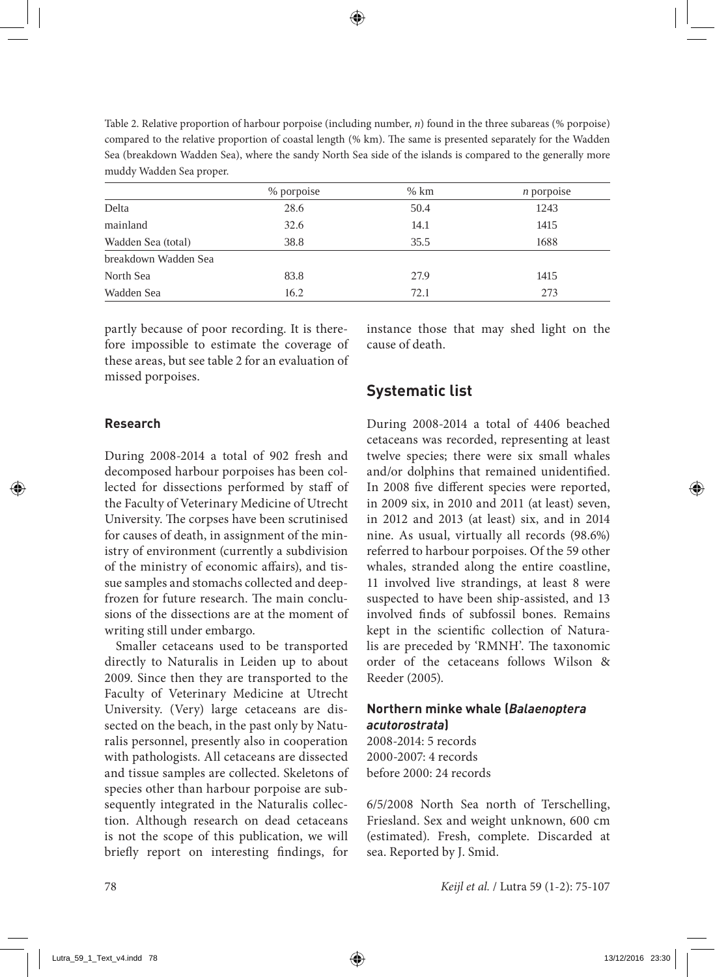Table 2. Relative proportion of harbour porpoise (including number, *n*) found in the three subareas (% porpoise) compared to the relative proportion of coastal length (% km). The same is presented separately for the Wadden Sea (breakdown Wadden Sea), where the sandy North Sea side of the islands is compared to the generally more muddy Wadden Sea proper.

|                      | % porpoise | $%$ km | $n$ porpoise |
|----------------------|------------|--------|--------------|
| Delta                | 28.6       | 50.4   | 1243         |
| mainland             | 32.6       | 14.1   | 1415         |
| Wadden Sea (total)   | 38.8       | 35.5   | 1688         |
| breakdown Wadden Sea |            |        |              |
| North Sea            | 83.8       | 27.9   | 1415         |
| Wadden Sea           | 16.2       | 72.1   | 273          |

partly because of poor recording. It is therefore impossible to estimate the coverage of these areas, but see table 2 for an evaluation of missed porpoises.

instance those that may shed light on the cause of death.

## **Systematic list**

### **Research**

During 2008-2014 a total of 902 fresh and decomposed harbour porpoises has been collected for dissections performed by staff of the Faculty of Veterinary Medicine of Utrecht University. The corpses have been scrutinised for causes of death, in assignment of the ministry of environment (currently a subdivision of the ministry of economic affairs), and tissue samples and stomachs collected and deepfrozen for future research. The main conclusions of the dissections are at the moment of writing still under embargo.

Smaller cetaceans used to be transported directly to Naturalis in Leiden up to about 2009. Since then they are transported to the Faculty of Veterinary Medicine at Utrecht University. (Very) large cetaceans are dissected on the beach, in the past only by Naturalis personnel, presently also in cooperation with pathologists. All cetaceans are dissected and tissue samples are collected. Skeletons of species other than harbour porpoise are subsequently integrated in the Naturalis collection. Although research on dead cetaceans is not the scope of this publication, we will briefly report on interesting findings, for

During 2008-2014 a total of 4406 beached cetaceans was recorded, representing at least twelve species; there were six small whales and/or dolphins that remained unidentified. In 2008 five different species were reported, in 2009 six, in 2010 and 2011 (at least) seven, in 2012 and 2013 (at least) six, and in 2014 nine. As usual, virtually all records (98.6%) referred to harbour porpoises. Of the 59 other whales, stranded along the entire coastline, 11 involved live strandings, at least 8 were suspected to have been ship-assisted, and 13 involved finds of subfossil bones. Remains kept in the scientific collection of Naturalis are preceded by 'RMNH'. The taxonomic order of the cetaceans follows Wilson & Reeder (2005).

### **Northern minke whale (***Balaenoptera acutorostrata***)**

2008-2014: 5 records 2000-2007: 4 records before 2000: 24 records

6/5/2008 North Sea north of Terschelling, Friesland. Sex and weight unknown, 600 cm (estimated). Fresh, complete. Discarded at sea. Reported by J. Smid.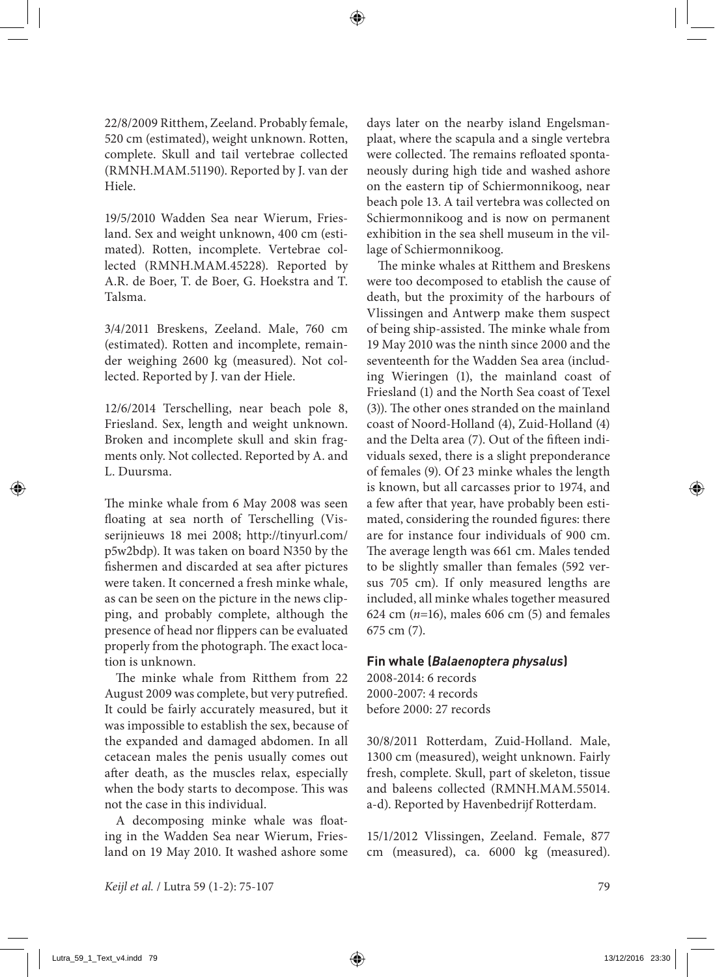22/8/2009 Ritthem, Zeeland. Probably female, 520 cm (estimated), weight unknown. Rotten, complete. Skull and tail vertebrae collected (RMNH.MAM.51190). Reported by J. van der Hiele.

19/5/2010 Wadden Sea near Wierum, Friesland. Sex and weight unknown, 400 cm (estimated). Rotten, incomplete. Vertebrae collected (RMNH.MAM.45228). Reported by A.R. de Boer, T. de Boer, G. Hoekstra and T. Talsma.

3/4/2011 Breskens, Zeeland. Male, 760 cm (estimated). Rotten and incomplete, remainder weighing 2600 kg (measured). Not collected. Reported by J. van der Hiele.

12/6/2014 Terschelling, near beach pole 8, Friesland. Sex, length and weight unknown. Broken and incomplete skull and skin fragments only. Not collected. Reported by A. and L. Duursma.

The minke whale from 6 May 2008 was seen floating at sea north of Terschelling (Visserijnieuws 18 mei 2008; http://tinyurl.com/ p5w2bdp). It was taken on board N350 by the fishermen and discarded at sea after pictures were taken. It concerned a fresh minke whale, as can be seen on the picture in the news clipping, and probably complete, although the presence of head nor flippers can be evaluated properly from the photograph. The exact location is unknown.

The minke whale from Ritthem from 22 August 2009 was complete, but very putrefied. It could be fairly accurately measured, but it was impossible to establish the sex, because of the expanded and damaged abdomen. In all cetacean males the penis usually comes out after death, as the muscles relax, especially when the body starts to decompose. This was not the case in this individual.

A decomposing minke whale was floating in the Wadden Sea near Wierum, Friesland on 19 May 2010. It washed ashore some days later on the nearby island Engelsmanplaat, where the scapula and a single vertebra were collected. The remains refloated spontaneously during high tide and washed ashore on the eastern tip of Schiermonnikoog, near beach pole 13. A tail vertebra was collected on Schiermonnikoog and is now on permanent exhibition in the sea shell museum in the village of Schiermonnikoog.

The minke whales at Ritthem and Breskens were too decomposed to etablish the cause of death, but the proximity of the harbours of Vlissingen and Antwerp make them suspect of being ship-assisted. The minke whale from 19 May 2010 was the ninth since 2000 and the seventeenth for the Wadden Sea area (including Wieringen (1), the mainland coast of Friesland (1) and the North Sea coast of Texel (3)). The other ones stranded on the mainland coast of Noord-Holland (4), Zuid-Holland (4) and the Delta area (7). Out of the fifteen individuals sexed, there is a slight preponderance of females (9). Of 23 minke whales the length is known, but all carcasses prior to 1974, and a few after that year, have probably been estimated, considering the rounded figures: there are for instance four individuals of 900 cm. The average length was 661 cm. Males tended to be slightly smaller than females (592 versus 705 cm). If only measured lengths are included, all minke whales together measured 624 cm  $(n=16)$ , males 606 cm  $(5)$  and females 675 cm (7).

### **Fin whale (***Balaenoptera physalus***)**

2008-2014: 6 records 2000-2007: 4 records before 2000: 27 records

30/8/2011 Rotterdam, Zuid-Holland. Male, 1300 cm (measured), weight unknown. Fairly fresh, complete. Skull, part of skeleton, tissue and baleens collected (RMNH.MAM.55014. a-d). Reported by Havenbedrijf Rotterdam.

15/1/2012 Vlissingen, Zeeland. Female, 877 cm (measured), ca. 6000 kg (measured).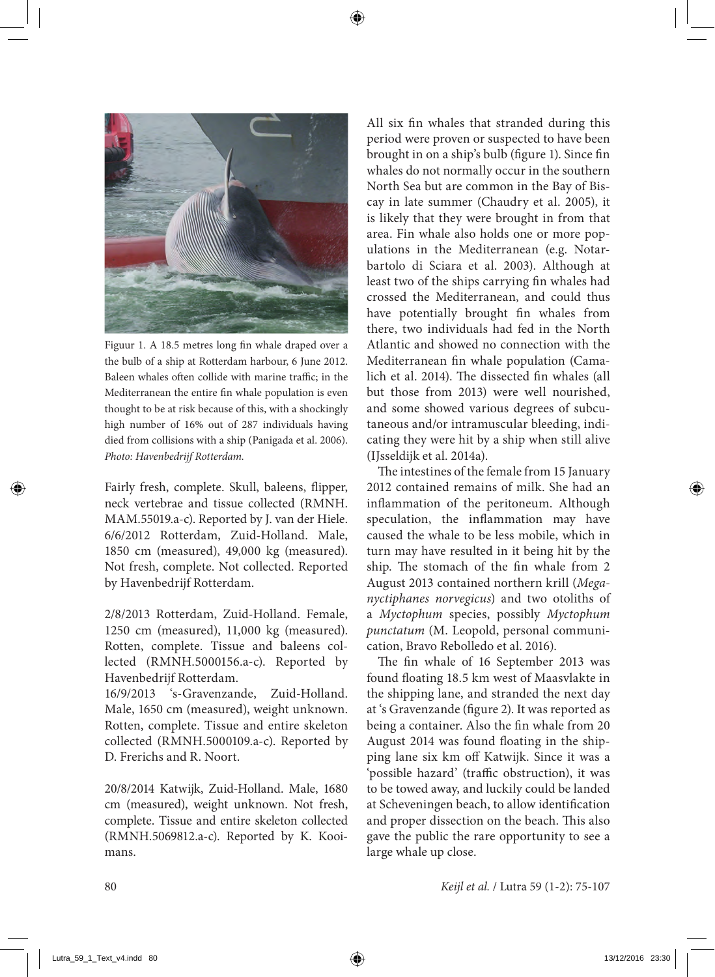

Figuur 1. A 18.5 metres long fin whale draped over a the bulb of a ship at Rotterdam harbour, 6 June 2012. Baleen whales often collide with marine traffic; in the Mediterranean the entire fin whale population is even thought to be at risk because of this, with a shockingly high number of 16% out of 287 individuals having died from collisions with a ship (Panigada et al. 2006). *Photo: Havenbedrijf Rotterdam.*

Fairly fresh, complete. Skull, baleens, flipper, neck vertebrae and tissue collected (RMNH. MAM.55019.a-c). Reported by J. van der Hiele. 6/6/2012 Rotterdam, Zuid-Holland. Male, 1850 cm (measured), 49,000 kg (measured). Not fresh, complete. Not collected. Reported by Havenbedrijf Rotterdam.

2/8/2013 Rotterdam, Zuid-Holland. Female, 1250 cm (measured), 11,000 kg (measured). Rotten, complete. Tissue and baleens collected (RMNH.5000156.a-c). Reported by Havenbedrijf Rotterdam.

16/9/2013 's-Gravenzande, Zuid-Holland. Male, 1650 cm (measured), weight unknown. Rotten, complete. Tissue and entire skeleton collected (RMNH.5000109.a-c). Reported by D. Frerichs and R. Noort.

20/8/2014 Katwijk, Zuid-Holland. Male, 1680 cm (measured), weight unknown. Not fresh, complete. Tissue and entire skeleton collected (RMNH.5069812.a-c). Reported by K. Kooimans.

All six fin whales that stranded during this period were proven or suspected to have been brought in on a ship's bulb (figure 1). Since fin whales do not normally occur in the southern North Sea but are common in the Bay of Biscay in late summer (Chaudry et al. 2005), it is likely that they were brought in from that area. Fin whale also holds one or more populations in the Mediterranean (e.g. Notarbartolo di Sciara et al. 2003). Although at least two of the ships carrying fin whales had crossed the Mediterranean, and could thus have potentially brought fin whales from there, two individuals had fed in the North Atlantic and showed no connection with the Mediterranean fin whale population (Camalich et al. 2014). The dissected fin whales (all but those from 2013) were well nourished, and some showed various degrees of subcutaneous and/or intramuscular bleeding, indicating they were hit by a ship when still alive (IJsseldijk et al. 2014a).

The intestines of the female from 15 January 2012 contained remains of milk. She had an inflammation of the peritoneum. Although speculation, the inflammation may have caused the whale to be less mobile, which in turn may have resulted in it being hit by the ship. The stomach of the fin whale from 2 August 2013 contained northern krill (*Meganyctiphanes norvegicus*) and two otoliths of a *Myctophum* species, possibly *Myctophum punctatum* (M. Leopold, personal communication, Bravo Rebolledo et al. 2016).

The fin whale of 16 September 2013 was found floating 18.5 km west of Maasvlakte in the shipping lane, and stranded the next day at 's Gravenzande (figure 2). It was reported as being a container. Also the fin whale from 20 August 2014 was found floating in the shipping lane six km off Katwijk. Since it was a 'possible hazard' (traffic obstruction), it was to be towed away, and luckily could be landed at Scheveningen beach, to allow identification and proper dissection on the beach. This also gave the public the rare opportunity to see a large whale up close.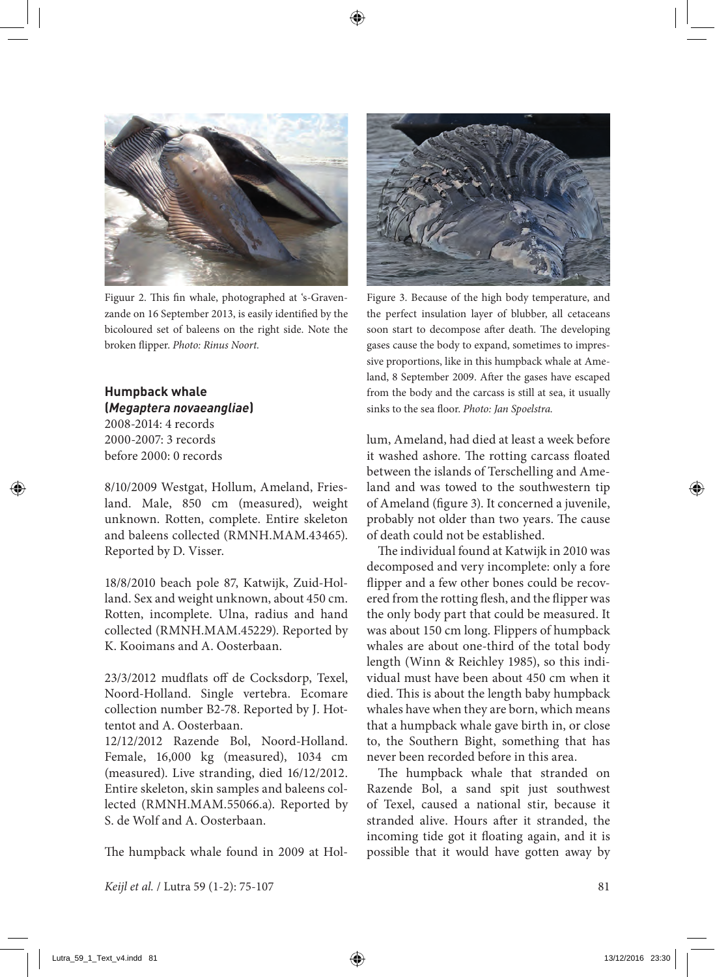

Figuur 2. This fin whale, photographed at 's-Gravenzande on 16 September 2013, is easily identified by the bicoloured set of baleens on the right side. Note the broken flipper. *Photo: Rinus Noort.*

### **Humpback whale (***Megaptera novaeangliae***)**

2008-2014: 4 records 2000-2007: 3 records before 2000: 0 records

8/10/2009 Westgat, Hollum, Ameland, Friesland. Male, 850 cm (measured), weight unknown. Rotten, complete. Entire skeleton and baleens collected (RMNH.MAM.43465). Reported by D. Visser.

18/8/2010 beach pole 87, Katwijk, Zuid-Holland. Sex and weight unknown, about 450 cm. Rotten, incomplete. Ulna, radius and hand collected (RMNH.MAM.45229). Reported by K. Kooimans and A. Oosterbaan.

23/3/2012 mudflats off de Cocksdorp, Texel, Noord-Holland. Single vertebra. Ecomare collection number B2-78. Reported by J. Hottentot and A. Oosterbaan.

12/12/2012 Razende Bol, Noord-Holland. Female, 16,000 kg (measured), 1034 cm (measured). Live stranding, died 16/12/2012. Entire skeleton, skin samples and baleens collected (RMNH.MAM.55066.a). Reported by S. de Wolf and A. Oosterbaan.

The humpback whale found in 2009 at Hol-



Figure 3. Because of the high body temperature, and the perfect insulation layer of blubber, all cetaceans soon start to decompose after death. The developing gases cause the body to expand, sometimes to impressive proportions, like in this humpback whale at Ameland, 8 September 2009. After the gases have escaped from the body and the carcass is still at sea, it usually sinks to the sea floor. *Photo: Jan Spoelstra.*

lum, Ameland, had died at least a week before it washed ashore. The rotting carcass floated between the islands of Terschelling and Ameland and was towed to the southwestern tip of Ameland (figure 3). It concerned a juvenile, probably not older than two years. The cause of death could not be established.

The individual found at Katwijk in 2010 was decomposed and very incomplete: only a fore flipper and a few other bones could be recovered from the rotting flesh, and the flipper was the only body part that could be measured. It was about 150 cm long. Flippers of humpback whales are about one-third of the total body length (Winn & Reichley 1985), so this individual must have been about 450 cm when it died. This is about the length baby humpback whales have when they are born, which means that a humpback whale gave birth in, or close to, the Southern Bight, something that has never been recorded before in this area.

The humpback whale that stranded on Razende Bol, a sand spit just southwest of Texel, caused a national stir, because it stranded alive. Hours after it stranded, the incoming tide got it floating again, and it is possible that it would have gotten away by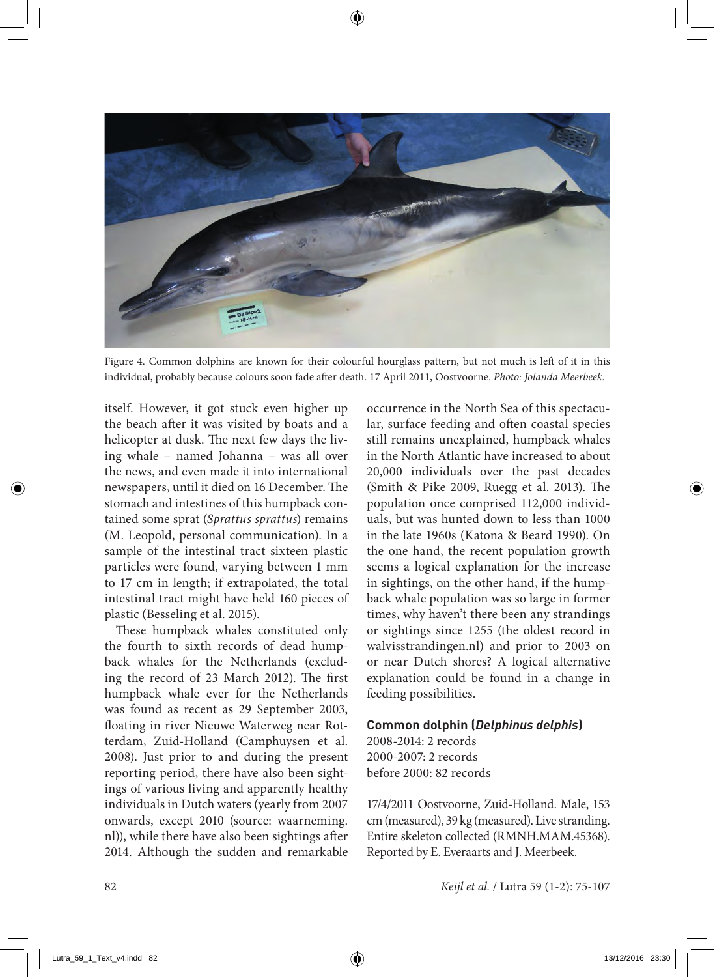

Figure 4. Common dolphins are known for their colourful hourglass pattern, but not much is left of it in this individual, probably because colours soon fade after death. 17 April 2011, Oostvoorne. *Photo: Jolanda Meerbeek.*

itself. However, it got stuck even higher up the beach after it was visited by boats and a helicopter at dusk. The next few days the living whale – named Johanna – was all over the news, and even made it into international newspapers, until it died on 16 December. The stomach and intestines of this humpback contained some sprat (*Sprattus sprattus*) remains (M. Leopold, personal communication). In a sample of the intestinal tract sixteen plastic particles were found, varying between 1 mm to 17 cm in length; if extrapolated, the total intestinal tract might have held 160 pieces of plastic (Besseling et al. 2015).

These humpback whales constituted only the fourth to sixth records of dead humpback whales for the Netherlands (excluding the record of 23 March 2012). The first humpback whale ever for the Netherlands was found as recent as 29 September 2003, floating in river Nieuwe Waterweg near Rotterdam, Zuid-Holland (Camphuysen et al. 2008). Just prior to and during the present reporting period, there have also been sightings of various living and apparently healthy individuals in Dutch waters (yearly from 2007 onwards, except 2010 (source: waarneming. nl)), while there have also been sightings after 2014. Although the sudden and remarkable occurrence in the North Sea of this spectacular, surface feeding and often coastal species still remains unexplained, humpback whales in the North Atlantic have increased to about 20,000 individuals over the past decades (Smith & Pike 2009, Ruegg et al. 2013). The population once comprised 112,000 individuals, but was hunted down to less than 1000 in the late 1960s (Katona & Beard 1990). On the one hand, the recent population growth seems a logical explanation for the increase in sightings, on the other hand, if the humpback whale population was so large in former times, why haven't there been any strandings or sightings since 1255 (the oldest record in walvisstrandingen.nl) and prior to 2003 on or near Dutch shores? A logical alternative explanation could be found in a change in feeding possibilities.

### **Common dolphin (***Delphinus delphis***)**

2008-2014: 2 records 2000-2007: 2 records before 2000: 82 records

17/4/2011 Oostvoorne, Zuid-Holland. Male, 153 cm (measured), 39 kg (measured). Live stranding. Entire skeleton collected (RMNH.MAM.45368). Reported by E. Everaarts and J. Meerbeek.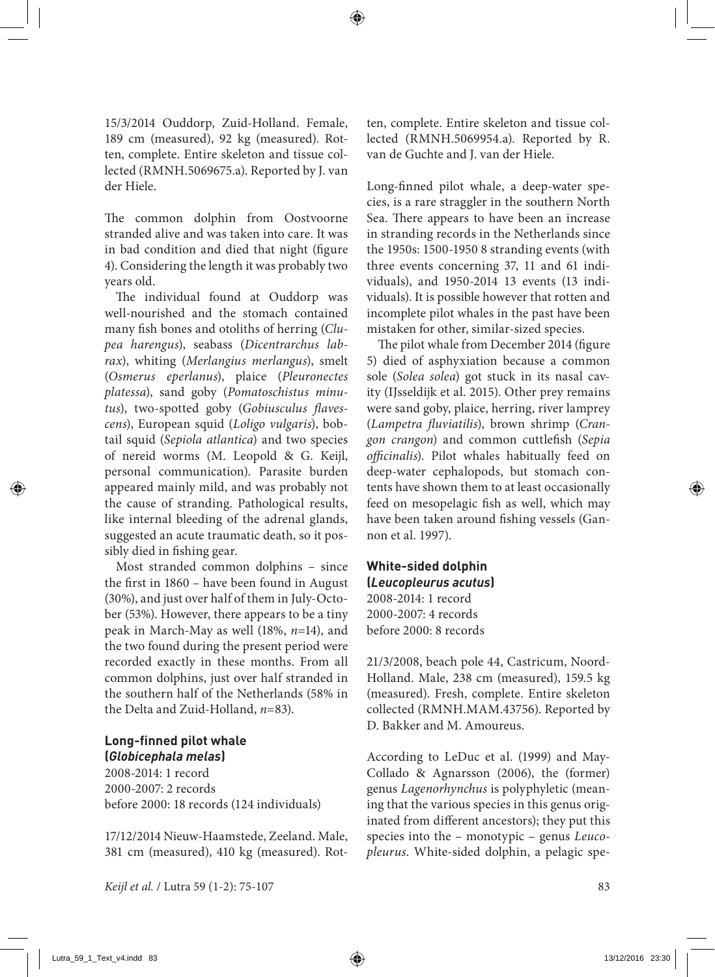15/3/2014 Ouddorp, Zuid-Holland. Female, 189 cm (measured), 92 kg (measured). Rotten, complete. Entire skeleton and tissue collected (RMNH.5069675.a). Reported by J. van der Hiele.

The common dolphin from Oostvoorne stranded alive and was taken into care. It was in bad condition and died that night (figure 4). Considering the length it was probably two years old.

The individual found at Ouddorp was well-nourished and the stomach contained many fish bones and otoliths of herring (*Clupea harengus*), seabass (*Dicentrarchus labrax*), whiting (*Merlangius merlangus*), smelt (*Osmerus eperlanus*), plaice (*Pleuronectes platessa*), sand goby (*Pomatoschistus minutus*), two-spotted goby (*Gobiusculus flavescens*), European squid (*Loligo vulgaris*), bobtail squid (*Sepiola atlantica*) and two species of nereid worms (M. Leopold & G. Keijl, personal communication). Parasite burden appeared mainly mild, and was probably not the cause of stranding. Pathological results, like internal bleeding of the adrenal glands, suggested an acute traumatic death, so it possibly died in fishing gear.

Most stranded common dolphins – since the first in 1860 – have been found in August (30%), and just over half of them in July-October (53%). However, there appears to be a tiny peak in March-May as well (18%, *n*=14), and the two found during the present period were recorded exactly in these months. From all common dolphins, just over half stranded in the southern half of the Netherlands (58% in the Delta and Zuid-Holland, *n*=83).

### **Long-finned pilot whale (***Globicephala melas***)**

2008-2014: 1 record 2000-2007: 2 records before 2000: 18 records (124 individuals)

17/12/2014 Nieuw-Haamstede, Zeeland. Male, 381 cm (measured), 410 kg (measured). Rotten, complete. Entire skeleton and tissue collected (RMNH.5069954.a). Reported by R. van de Guchte and J. van der Hiele.

Long-finned pilot whale, a deep-water species, is a rare straggler in the southern North Sea. There appears to have been an increase in stranding records in the Netherlands since the 1950s: 1500-1950 8 stranding events (with three events concerning 37, 11 and 61 individuals), and 1950-2014 13 events (13 individuals). It is possible however that rotten and incomplete pilot whales in the past have been mistaken for other, similar-sized species.

The pilot whale from December 2014 (figure 5) died of asphyxiation because a common sole (*Solea solea*) got stuck in its nasal cavity (IJsseldijk et al. 2015). Other prey remains were sand goby, plaice, herring, river lamprey (*Lampetra fluviatilis*), brown shrimp (*Crangon crangon*) and common cuttlefish (*Sepia officinalis*). Pilot whales habitually feed on deep-water cephalopods, but stomach contents have shown them to at least occasionally feed on mesopelagic fish as well, which may have been taken around fishing vessels (Gannon et al. 1997).

### **White-sided dolphin (***Leucopleurus acutus***)** 2008-2014: 1 record 2000-2007: 4 records before 2000: 8 records

21/3/2008, beach pole 44, Castricum, Noord-Holland. Male, 238 cm (measured), 159.5 kg (measured). Fresh, complete. Entire skeleton collected (RMNH.MAM.43756). Reported by D. Bakker and M. Amoureus.

According to LeDuc et al. (1999) and May-Collado & Agnarsson (2006), the (former) genus *Lagenorhynchus* is polyphyletic (meaning that the various species in this genus originated from different ancestors); they put this species into the – monotypic – genus *Leucopleurus*. White-sided dolphin, a pelagic spe-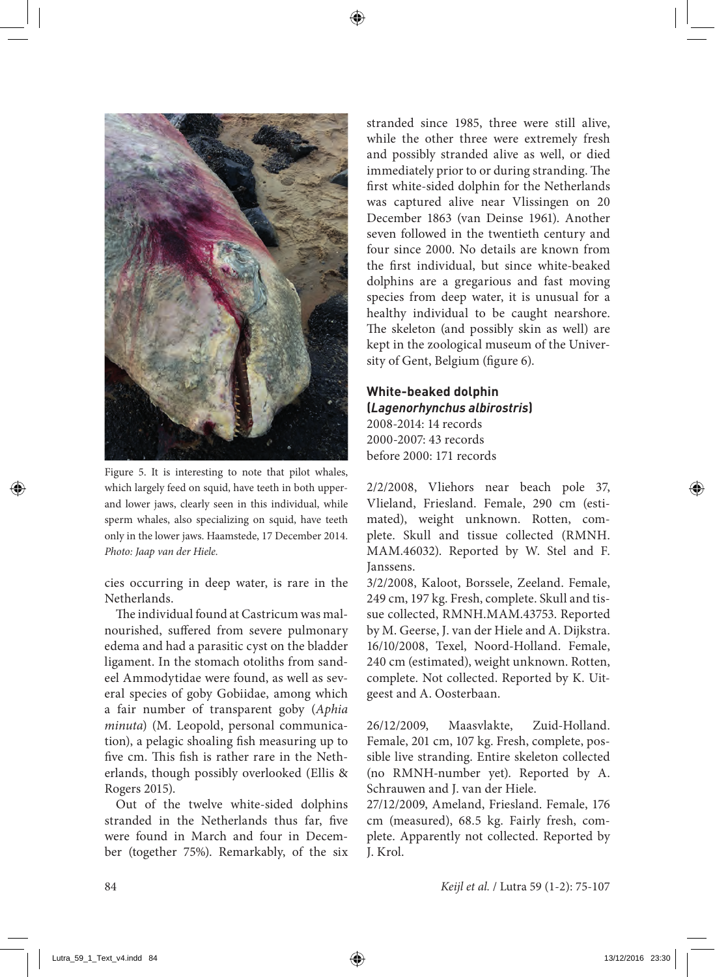

Figure 5. It is interesting to note that pilot whales, which largely feed on squid, have teeth in both upperand lower jaws, clearly seen in this individual, while sperm whales, also specializing on squid, have teeth only in the lower jaws. Haamstede, 17 December 2014. *Photo: Jaap van der Hiele.*

cies occurring in deep water, is rare in the Netherlands.

The individual found at Castricum was malnourished, suffered from severe pulmonary edema and had a parasitic cyst on the bladder ligament. In the stomach otoliths from sandeel Ammodytidae were found, as well as several species of goby Gobiidae, among which a fair number of transparent goby (*Aphia minuta*) (M. Leopold, personal communication), a pelagic shoaling fish measuring up to five cm. This fish is rather rare in the Netherlands, though possibly overlooked (Ellis & Rogers 2015).

Out of the twelve white-sided dolphins stranded in the Netherlands thus far, five were found in March and four in December (together 75%). Remarkably, of the six stranded since 1985, three were still alive, while the other three were extremely fresh and possibly stranded alive as well, or died immediately prior to or during stranding. The first white-sided dolphin for the Netherlands was captured alive near Vlissingen on 20 December 1863 (van Deinse 1961). Another seven followed in the twentieth century and four since 2000. No details are known from the first individual, but since white-beaked dolphins are a gregarious and fast moving species from deep water, it is unusual for a healthy individual to be caught nearshore. The skeleton (and possibly skin as well) are kept in the zoological museum of the University of Gent, Belgium (figure 6).

## **White-beaked dolphin (***Lagenorhynchus albirostris***)** 2008-2014: 14 records

2000-2007: 43 records before 2000: 171 records

2/2/2008, Vliehors near beach pole 37, Vlieland, Friesland. Female, 290 cm (estimated), weight unknown. Rotten, complete. Skull and tissue collected (RMNH. MAM.46032). Reported by W. Stel and F. Janssens.

3/2/2008, Kaloot, Borssele, Zeeland. Female, 249 cm, 197 kg. Fresh, complete. Skull and tissue collected, RMNH.MAM.43753. Reported by M. Geerse, J. van der Hiele and A. Dijkstra. 16/10/2008, Texel, Noord-Holland. Female, 240 cm (estimated), weight unknown. Rotten, complete. Not collected. Reported by K. Uitgeest and A. Oosterbaan.

26/12/2009, Maasvlakte, Zuid-Holland. Female, 201 cm, 107 kg. Fresh, complete, possible live stranding. Entire skeleton collected (no RMNH-number yet). Reported by A. Schrauwen and J. van der Hiele.

27/12/2009, Ameland, Friesland. Female, 176 cm (measured), 68.5 kg. Fairly fresh, complete. Apparently not collected. Reported by J. Krol.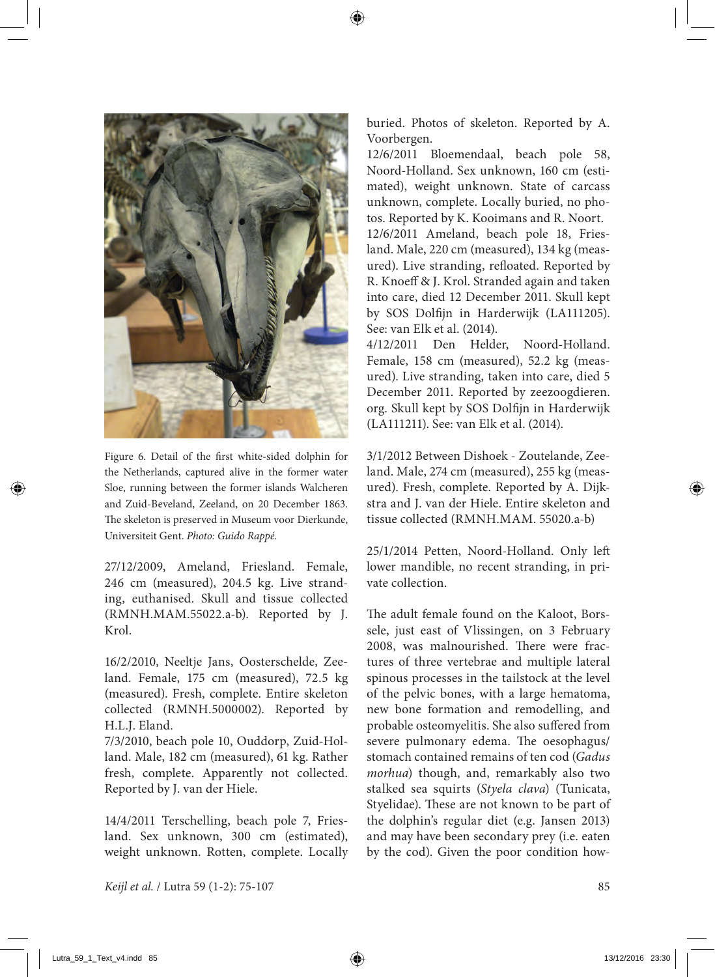

Figure 6. Detail of the first white-sided dolphin for the Netherlands, captured alive in the former water Sloe, running between the former islands Walcheren and Zuid-Beveland, Zeeland, on 20 December 1863. The skeleton is preserved in Museum voor Dierkunde, Universiteit Gent. *Photo: Guido Rappé.*

27/12/2009, Ameland, Friesland. Female, 246 cm (measured), 204.5 kg. Live stranding, euthanised. Skull and tissue collected (RMNH.MAM.55022.a-b). Reported by J. Krol.

16/2/2010, Neeltje Jans, Oosterschelde, Zeeland. Female, 175 cm (measured), 72.5 kg (measured). Fresh, complete. Entire skeleton collected (RMNH.5000002). Reported by H.L.J. Eland.

7/3/2010, beach pole 10, Ouddorp, Zuid-Holland. Male, 182 cm (measured), 61 kg. Rather fresh, complete. Apparently not collected. Reported by J. van der Hiele.

14/4/2011 Terschelling, beach pole 7, Friesland. Sex unknown, 300 cm (estimated), weight unknown. Rotten, complete. Locally buried. Photos of skeleton. Reported by A. Voorbergen.

12/6/2011 Bloemendaal, beach pole 58, Noord-Holland. Sex unknown, 160 cm (estimated), weight unknown. State of carcass unknown, complete. Locally buried, no photos. Reported by K. Kooimans and R. Noort. 12/6/2011 Ameland, beach pole 18, Friesland. Male, 220 cm (measured), 134 kg (measured). Live stranding, refloated. Reported by R. Knoeff & J. Krol. Stranded again and taken into care, died 12 December 2011. Skull kept by SOS Dolfijn in Harderwijk (LA111205). See: van Elk et al. (2014).

4/12/2011 Den Helder, Noord-Holland. Female, 158 cm (measured), 52.2 kg (measured). Live stranding, taken into care, died 5 December 2011. Reported by zeezoogdieren. org. Skull kept by SOS Dolfijn in Harderwijk (LA111211). See: van Elk et al. (2014).

3/1/2012 Between Dishoek - Zoutelande, Zeeland. Male, 274 cm (measured), 255 kg (measured). Fresh, complete. Reported by A. Dijkstra and J. van der Hiele. Entire skeleton and tissue collected (RMNH.MAM. 55020.a-b)

25/1/2014 Petten, Noord-Holland. Only left lower mandible, no recent stranding, in private collection.

The adult female found on the Kaloot, Borssele, just east of Vlissingen, on 3 February 2008, was malnourished. There were fractures of three vertebrae and multiple lateral spinous processes in the tailstock at the level of the pelvic bones, with a large hematoma, new bone formation and remodelling, and probable osteomyelitis. She also suffered from severe pulmonary edema. The oesophagus/ stomach contained remains of ten cod (*Gadus morhua*) though, and, remarkably also two stalked sea squirts (*Styela clava*) (Tunicata, Styelidae). These are not known to be part of the dolphin's regular diet (e.g. Jansen 2013) and may have been secondary prey (i.e. eaten by the cod). Given the poor condition how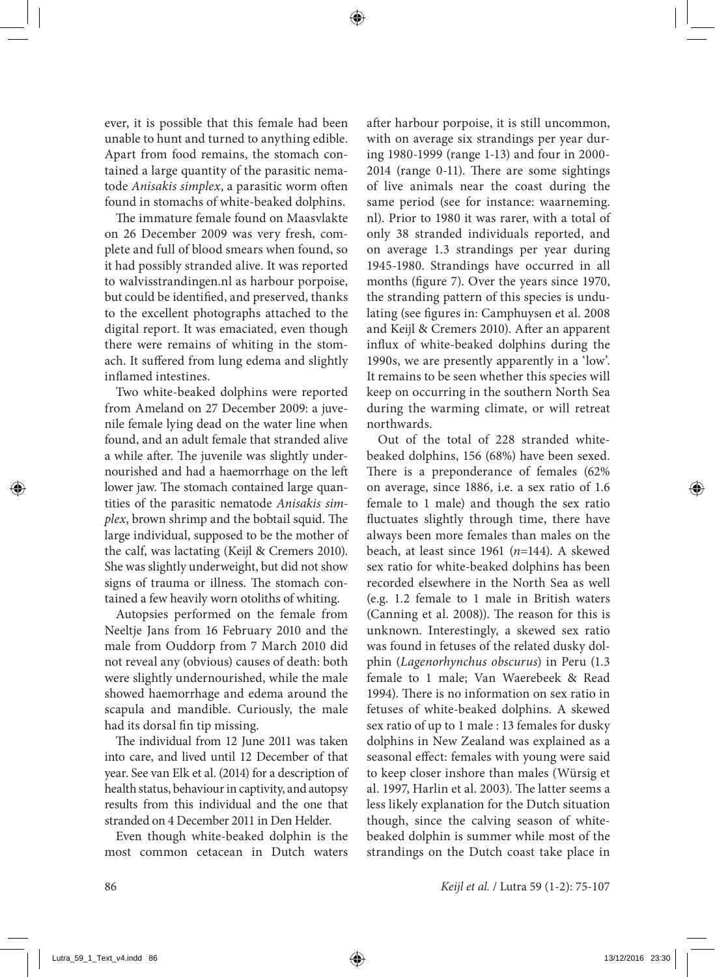ever, it is possible that this female had been unable to hunt and turned to anything edible. Apart from food remains, the stomach contained a large quantity of the parasitic nematode *Anisakis simplex*, a parasitic worm often found in stomachs of white-beaked dolphins.

The immature female found on Maasvlakte on 26 December 2009 was very fresh, complete and full of blood smears when found, so it had possibly stranded alive. It was reported to walvisstrandingen.nl as harbour porpoise, but could be identified, and preserved, thanks to the excellent photographs attached to the digital report. It was emaciated, even though there were remains of whiting in the stomach. It suffered from lung edema and slightly inflamed intestines.

Two white-beaked dolphins were reported from Ameland on 27 December 2009: a juvenile female lying dead on the water line when found, and an adult female that stranded alive a while after. The juvenile was slightly undernourished and had a haemorrhage on the left lower jaw. The stomach contained large quantities of the parasitic nematode *Anisakis simplex*, brown shrimp and the bobtail squid. The large individual, supposed to be the mother of the calf, was lactating (Keijl & Cremers 2010). She was slightly underweight, but did not show signs of trauma or illness. The stomach contained a few heavily worn otoliths of whiting.

Autopsies performed on the female from Neeltje Jans from 16 February 2010 and the male from Ouddorp from 7 March 2010 did not reveal any (obvious) causes of death: both were slightly undernourished, while the male showed haemorrhage and edema around the scapula and mandible. Curiously, the male had its dorsal fin tip missing.

The individual from 12 June 2011 was taken into care, and lived until 12 December of that year. See van Elk et al. (2014) for a description of health status, behaviour in captivity, and autopsy results from this individual and the one that stranded on 4 December 2011 in Den Helder.

Even though white-beaked dolphin is the most common cetacean in Dutch waters after harbour porpoise, it is still uncommon, with on average six strandings per year during 1980-1999 (range 1-13) and four in 2000- 2014 (range 0-11). There are some sightings of live animals near the coast during the same period (see for instance: waarneming. nl). Prior to 1980 it was rarer, with a total of only 38 stranded individuals reported, and on average 1.3 strandings per year during 1945-1980. Strandings have occurred in all months (figure 7). Over the years since 1970, the stranding pattern of this species is undulating (see figures in: Camphuysen et al. 2008 and Keijl & Cremers 2010). After an apparent influx of white-beaked dolphins during the 1990s, we are presently apparently in a 'low'. It remains to be seen whether this species will keep on occurring in the southern North Sea during the warming climate, or will retreat northwards.

Out of the total of 228 stranded whitebeaked dolphins, 156 (68%) have been sexed. There is a preponderance of females (62% on average, since 1886, i.e. a sex ratio of 1.6 female to 1 male) and though the sex ratio fluctuates slightly through time, there have always been more females than males on the beach, at least since 1961 (*n*=144). A skewed sex ratio for white-beaked dolphins has been recorded elsewhere in the North Sea as well (e.g. 1.2 female to 1 male in British waters (Canning et al. 2008)). The reason for this is unknown. Interestingly, a skewed sex ratio was found in fetuses of the related dusky dolphin (*Lagenorhynchus obscurus*) in Peru (1.3 female to 1 male; Van Waerebeek & Read 1994). There is no information on sex ratio in fetuses of white-beaked dolphins. A skewed sex ratio of up to 1 male : 13 females for dusky dolphins in New Zealand was explained as a seasonal effect: females with young were said to keep closer inshore than males (Würsig et al. 1997, Harlin et al. 2003). The latter seems a less likely explanation for the Dutch situation though, since the calving season of whitebeaked dolphin is summer while most of the strandings on the Dutch coast take place in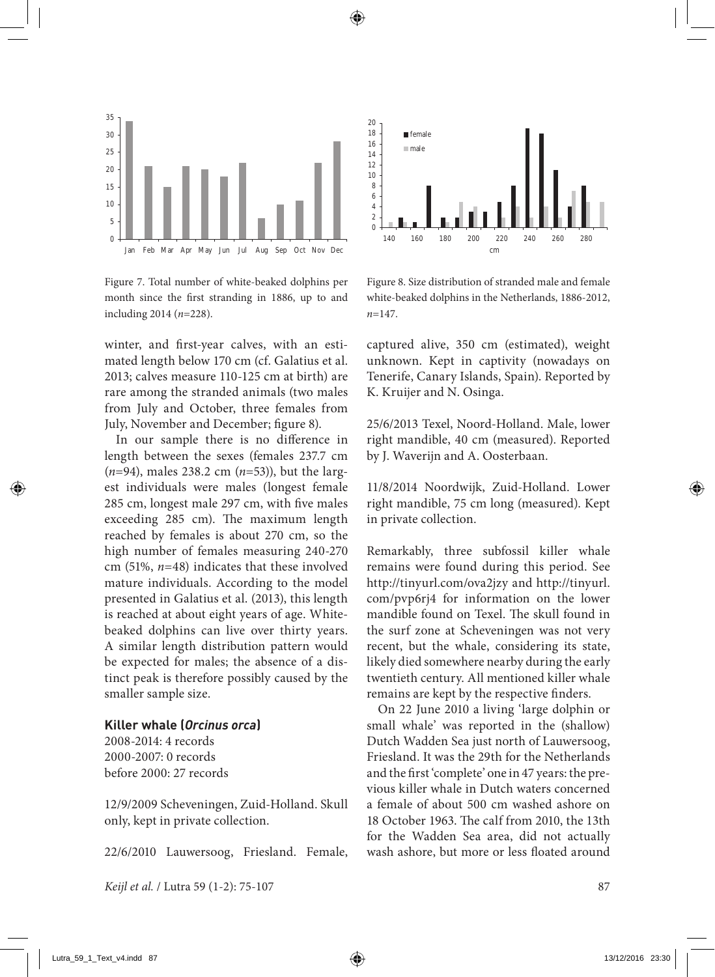

 $\mathbf{0}$ 2 4 6 8 10 12 14 16 18 20 140 160 180 200 220 240 260 280 cm female male

Figure 7. Total number of white-beaked dolphins per month since the first stranding in 1886, up to and including 2014 (*n*=228).

winter, and first-year calves, with an estimated length below 170 cm (cf. Galatius et al. 2013; calves measure 110-125 cm at birth) are rare among the stranded animals (two males from July and October, three females from July, November and December; figure 8).

In our sample there is no difference in length between the sexes (females 237.7 cm (*n*=94), males 238.2 cm (*n*=53)), but the largest individuals were males (longest female 285 cm, longest male 297 cm, with five males exceeding 285 cm). The maximum length reached by females is about 270 cm, so the high number of females measuring 240-270 cm (51%, *n*=48) indicates that these involved mature individuals. According to the model presented in Galatius et al. (2013), this length is reached at about eight years of age. Whitebeaked dolphins can live over thirty years. A similar length distribution pattern would be expected for males; the absence of a distinct peak is therefore possibly caused by the smaller sample size.

### **Killer whale (***Orcinus orca***)**

2008-2014: 4 records 2000-2007: 0 records before 2000: 27 records

12/9/2009 Scheveningen, Zuid-Holland. Skull only, kept in private collection.

22/6/2010 Lauwersoog, Friesland. Female,

Figure 8. Size distribution of stranded male and female white-beaked dolphins in the Netherlands, 1886-2012, *n*=147.

captured alive, 350 cm (estimated), weight unknown. Kept in captivity (nowadays on Tenerife, Canary Islands, Spain). Reported by K. Kruijer and N. Osinga.

25/6/2013 Texel, Noord-Holland. Male, lower right mandible, 40 cm (measured). Reported by J. Waverijn and A. Oosterbaan.

11/8/2014 Noordwijk, Zuid-Holland. Lower right mandible, 75 cm long (measured). Kept in private collection.

Remarkably, three subfossil killer whale remains were found during this period. See http://tinyurl.com/ova2jzy and http://tinyurl. com/pvp6rj4 for information on the lower mandible found on Texel. The skull found in the surf zone at Scheveningen was not very recent, but the whale, considering its state, likely died somewhere nearby during the early twentieth century. All mentioned killer whale remains are kept by the respective finders.

On 22 June 2010 a living 'large dolphin or small whale' was reported in the (shallow) Dutch Wadden Sea just north of Lauwersoog, Friesland. It was the 29th for the Netherlands and the first 'complete' one in 47 years: the previous killer whale in Dutch waters concerned a female of about 500 cm washed ashore on 18 October 1963. The calf from 2010, the 13th for the Wadden Sea area, did not actually wash ashore, but more or less floated around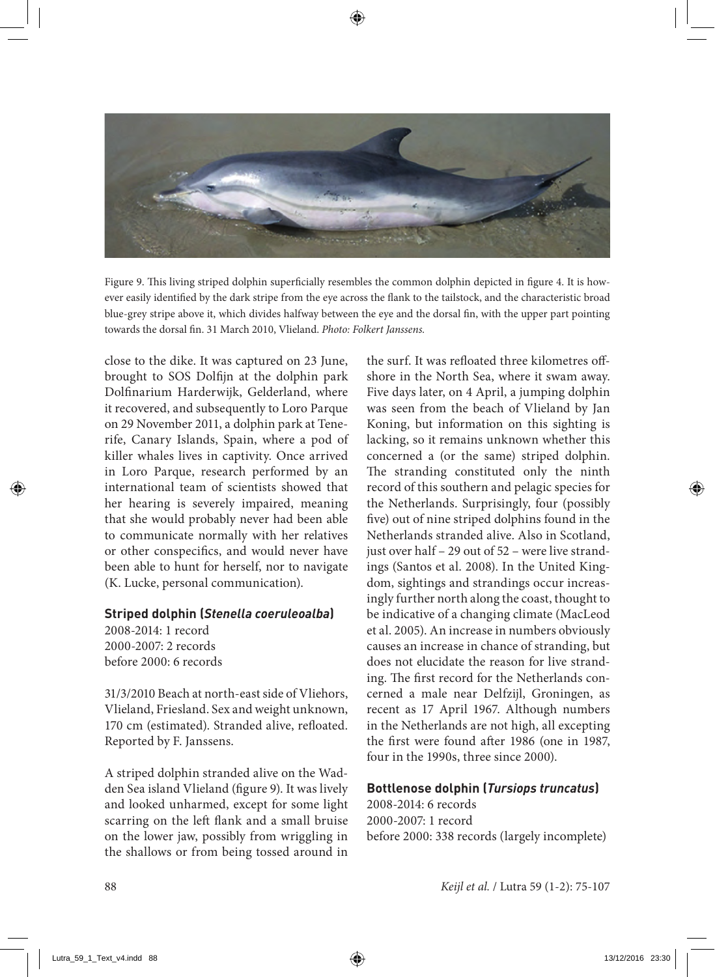

Figure 9. This living striped dolphin superficially resembles the common dolphin depicted in figure 4. It is however easily identified by the dark stripe from the eye across the flank to the tailstock, and the characteristic broad blue-grey stripe above it, which divides halfway between the eye and the dorsal fin, with the upper part pointing towards the dorsal fin. 31 March 2010, Vlieland. *Photo: Folkert Janssens.*

close to the dike. It was captured on 23 June, brought to SOS Dolfijn at the dolphin park Dolfinarium Harderwijk, Gelderland, where it recovered, and subsequently to Loro Parque on 29 November 2011, a dolphin park at Tenerife, Canary Islands, Spain, where a pod of killer whales lives in captivity. Once arrived in Loro Parque, research performed by an international team of scientists showed that her hearing is severely impaired, meaning that she would probably never had been able to communicate normally with her relatives or other conspecifics, and would never have been able to hunt for herself, nor to navigate (K. Lucke, personal communication).

### **Striped dolphin (***Stenella coeruleoalba***)**

2008-2014: 1 record 2000-2007: 2 records before 2000: 6 records

31/3/2010 Beach at north-east side of Vliehors, Vlieland, Friesland. Sex and weight unknown, 170 cm (estimated). Stranded alive, refloated. Reported by F. Janssens.

A striped dolphin stranded alive on the Wadden Sea island Vlieland (figure 9). It was lively and looked unharmed, except for some light scarring on the left flank and a small bruise on the lower jaw, possibly from wriggling in the shallows or from being tossed around in the surf. It was refloated three kilometres offshore in the North Sea, where it swam away. Five days later, on 4 April, a jumping dolphin was seen from the beach of Vlieland by Jan Koning, but information on this sighting is lacking, so it remains unknown whether this concerned a (or the same) striped dolphin. The stranding constituted only the ninth record of this southern and pelagic species for the Netherlands. Surprisingly, four (possibly five) out of nine striped dolphins found in the Netherlands stranded alive. Also in Scotland, just over half – 29 out of 52 – were live strandings (Santos et al. 2008). In the United Kingdom, sightings and strandings occur increasingly further north along the coast, thought to be indicative of a changing climate (MacLeod et al. 2005). An increase in numbers obviously causes an increase in chance of stranding, but does not elucidate the reason for live stranding. The first record for the Netherlands concerned a male near Delfzijl, Groningen, as recent as 17 April 1967. Although numbers in the Netherlands are not high, all excepting the first were found after 1986 (one in 1987, four in the 1990s, three since 2000).

#### **Bottlenose dolphin (***Tursiops truncatus***)**

2008-2014: 6 records 2000-2007: 1 record before 2000: 338 records (largely incomplete)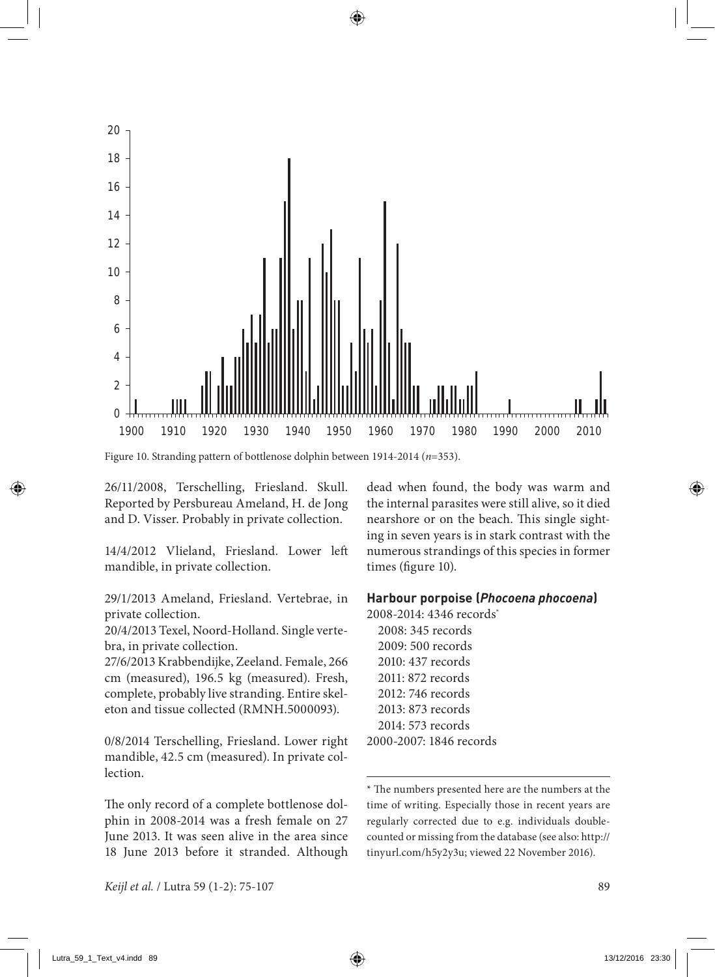

Figure 10. Stranding pattern of bottlenose dolphin between 1914-2014 (*n*=353).

26/11/2008, Terschelling, Friesland. Skull. Reported by Persbureau Ameland, H. de Jong and D. Visser. Probably in private collection.

14/4/2012 Vlieland, Friesland. Lower left mandible, in private collection.

29/1/2013 Ameland, Friesland. Vertebrae, in private collection.

20/4/2013 Texel, Noord-Holland. Single vertebra, in private collection.

27/6/2013 Krabbendijke, Zeeland. Female, 266 cm (measured), 196.5 kg (measured). Fresh, complete, probably live stranding. Entire skeleton and tissue collected (RMNH.5000093).

0/8/2014 Terschelling, Friesland. Lower right mandible, 42.5 cm (measured). In private col**lection** 

The only record of a complete bottlenose dolphin in 2008-2014 was a fresh female on 27 June 2013. It was seen alive in the area since 18 June 2013 before it stranded. Although dead when found, the body was warm and the internal parasites were still alive, so it died nearshore or on the beach. This single sighting in seven years is in stark contrast with the numerous strandings of this species in former times (figure 10).

### **Harbour porpoise (***Phocoena phocoena***)**

2008-2014: 4346 records\* 2008: 345 records 2009: 500 records 2010: 437 records 2011: 872 records 2012: 746 records 2013: 873 records 2014: 573 records 2000-2007: 1846 records

\* The numbers presented here are the numbers at the time of writing. Especially those in recent years are regularly corrected due to e.g. individuals doublecounted or missing from the database (see also: http:// tinyurl.com/h5y2y3u; viewed 22 November 2016).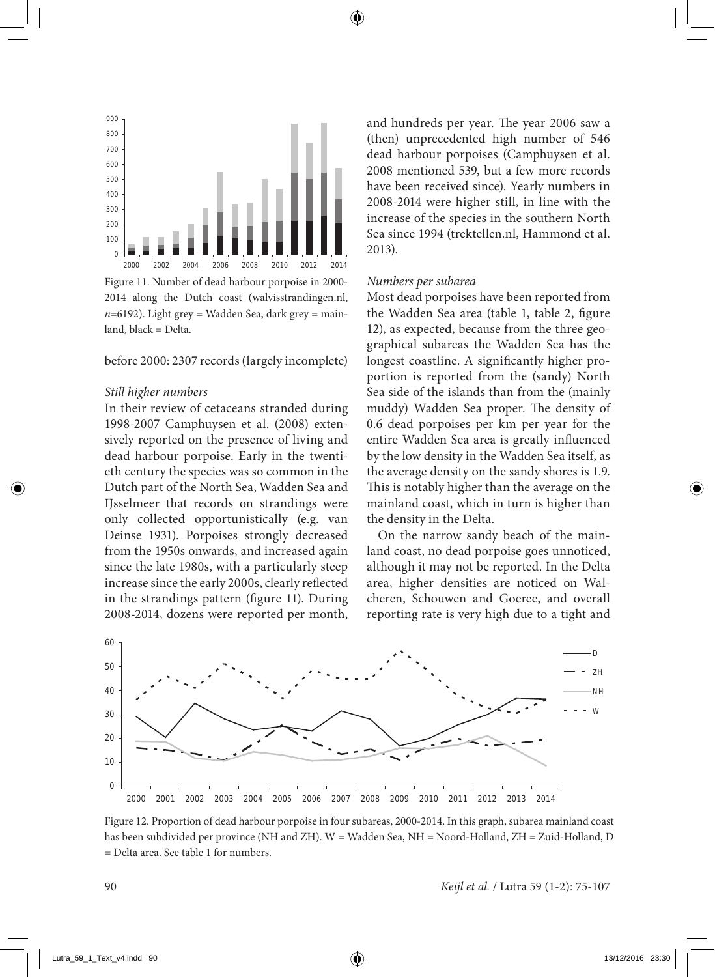

Figure 11. Number of dead harbour porpoise in 2000- 2014 along the Dutch coast (walvisstrandingen.nl,  $n=6192$ ). Light grey = Wadden Sea, dark grey = mainland, black = Delta.

before 2000: 2307 records (largely incomplete)

#### *Still higher numbers*

In their review of cetaceans stranded during 1998-2007 Camphuysen et al. (2008) extensively reported on the presence of living and dead harbour porpoise. Early in the twentieth century the species was so common in the Dutch part of the North Sea, Wadden Sea and IJsselmeer that records on strandings were only collected opportunistically (e.g. van Deinse 1931). Porpoises strongly decreased from the 1950s onwards, and increased again since the late 1980s, with a particularly steep increase since the early 2000s, clearly reflected in the strandings pattern (figure 11). During 2008-2014, dozens were reported per month, and hundreds per year. The year 2006 saw a (then) unprecedented high number of 546 dead harbour porpoises (Camphuysen et al. 2008 mentioned 539, but a few more records have been received since). Yearly numbers in 2008-2014 were higher still, in line with the increase of the species in the southern North Sea since 1994 (trektellen.nl, Hammond et al. 2013).

#### *Numbers per subarea*

Most dead porpoises have been reported from the Wadden Sea area (table 1, table 2, figure 12), as expected, because from the three geographical subareas the Wadden Sea has the longest coastline. A significantly higher proportion is reported from the (sandy) North Sea side of the islands than from the (mainly muddy) Wadden Sea proper. The density of 0.6 dead porpoises per km per year for the entire Wadden Sea area is greatly influenced by the low density in the Wadden Sea itself, as the average density on the sandy shores is 1.9. This is notably higher than the average on the mainland coast, which in turn is higher than the density in the Delta.

On the narrow sandy beach of the mainland coast, no dead porpoise goes unnoticed, although it may not be reported. In the Delta area, higher densities are noticed on Walcheren, Schouwen and Goeree, and overall reporting rate is very high due to a tight and



Figure 12. Proportion of dead harbour porpoise in four subareas, 2000-2014. In this graph, subarea mainland coast has been subdivided per province (NH and ZH). W = Wadden Sea, NH = Noord-Holland, ZH = Zuid-Holland, D = Delta area. See table 1 for numbers.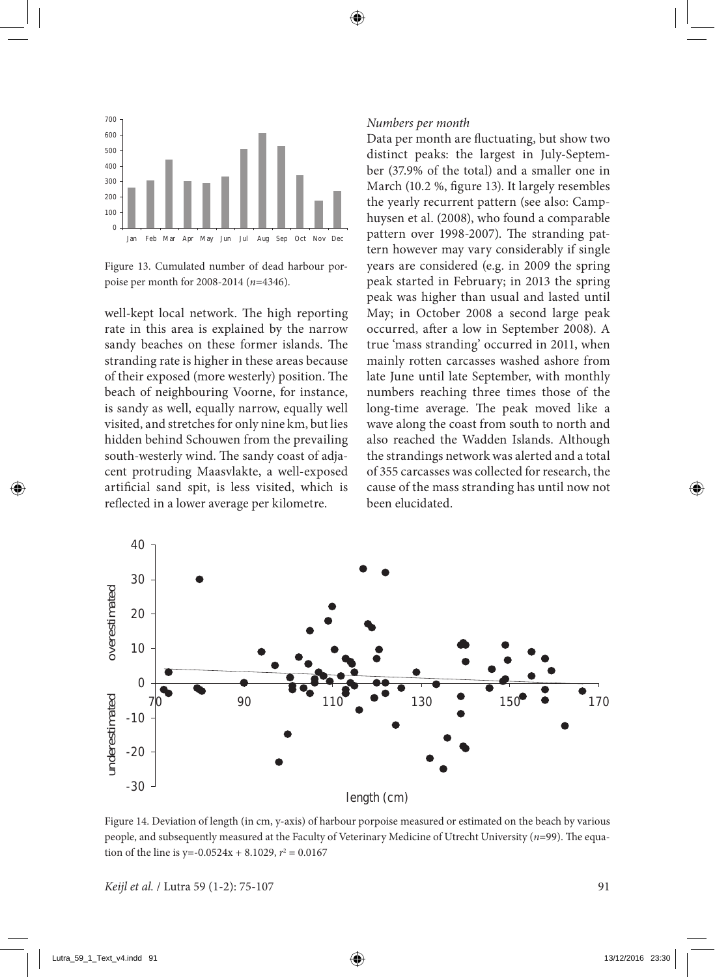

Figure 13. Cumulated number of dead harbour porpoise per month for 2008-2014 (*n*=4346).

well-kept local network. The high reporting rate in this area is explained by the narrow sandy beaches on these former islands. The stranding rate is higher in these areas because of their exposed (more westerly) position. The beach of neighbouring Voorne, for instance, is sandy as well, equally narrow, equally well visited, and stretches for only nine km, but lies hidden behind Schouwen from the prevailing south-westerly wind. The sandy coast of adjacent protruding Maasvlakte, a well-exposed artificial sand spit, is less visited, which is reflected in a lower average per kilometre.

#### *Numbers per month*

Data per month are fluctuating, but show two distinct peaks: the largest in July-September (37.9% of the total) and a smaller one in March (10.2 %, figure 13). It largely resembles the yearly recurrent pattern (see also: Camphuysen et al. (2008), who found a comparable pattern over 1998-2007). The stranding pattern however may vary considerably if single years are considered (e.g. in 2009 the spring peak started in February; in 2013 the spring peak was higher than usual and lasted until May; in October 2008 a second large peak occurred, after a low in September 2008). A true 'mass stranding' occurred in 2011, when mainly rotten carcasses washed ashore from late June until late September, with monthly numbers reaching three times those of the long-time average. The peak moved like a wave along the coast from south to north and also reached the Wadden Islands. Although the strandings network was alerted and a total of 355 carcasses was collected for research, the cause of the mass stranding has until now not been elucidated.



Figure 14. Deviation of length (in cm, y-axis) of harbour porpoise measured or estimated on the beach by various people, and subsequently measured at the Faculty of Veterinary Medicine of Utrecht University (*n*=99). The equation of the line is  $y=-0.0524x + 8.1029$ ,  $r^2 = 0.0167$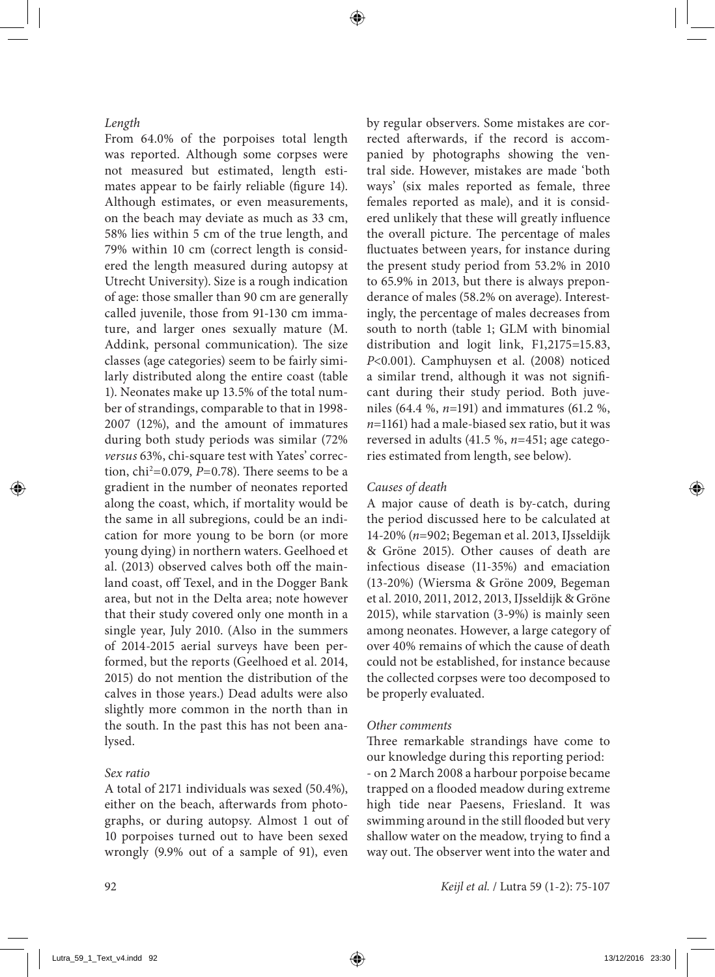### *Length*

From 64.0% of the porpoises total length was reported. Although some corpses were not measured but estimated, length estimates appear to be fairly reliable (figure 14). Although estimates, or even measurements, on the beach may deviate as much as 33 cm, 58% lies within 5 cm of the true length, and 79% within 10 cm (correct length is considered the length measured during autopsy at Utrecht University). Size is a rough indication of age: those smaller than 90 cm are generally called juvenile, those from 91-130 cm immature, and larger ones sexually mature (M. Addink, personal communication). The size classes (age categories) seem to be fairly similarly distributed along the entire coast (table 1). Neonates make up 13.5% of the total number of strandings, comparable to that in 1998- 2007 (12%), and the amount of immatures during both study periods was similar (72% *versus* 63%, chi-square test with Yates' correction, chi2 =0.079, *P*=0.78). There seems to be a gradient in the number of neonates reported along the coast, which, if mortality would be the same in all subregions, could be an indication for more young to be born (or more young dying) in northern waters. Geelhoed et al. (2013) observed calves both off the mainland coast, off Texel, and in the Dogger Bank area, but not in the Delta area; note however that their study covered only one month in a single year, July 2010. (Also in the summers of 2014-2015 aerial surveys have been performed, but the reports (Geelhoed et al. 2014, 2015) do not mention the distribution of the calves in those years.) Dead adults were also slightly more common in the north than in the south. In the past this has not been analysed.

### *Sex ratio*

A total of 2171 individuals was sexed (50.4%), either on the beach, afterwards from photographs, or during autopsy. Almost 1 out of 10 porpoises turned out to have been sexed wrongly (9.9% out of a sample of 91), even by regular observers. Some mistakes are corrected afterwards, if the record is accompanied by photographs showing the ventral side. However, mistakes are made 'both ways' (six males reported as female, three females reported as male), and it is considered unlikely that these will greatly influence the overall picture. The percentage of males fluctuates between years, for instance during the present study period from 53.2% in 2010 to 65.9% in 2013, but there is always preponderance of males (58.2% on average). Interestingly, the percentage of males decreases from south to north (table 1; GLM with binomial distribution and logit link, F1,2175=15.83, *P*<0.001). Camphuysen et al. (2008) noticed a similar trend, although it was not significant during their study period. Both juveniles (64.4 %, *n*=191) and immatures (61.2 %, *n*=1161) had a male-biased sex ratio, but it was reversed in adults (41.5 %, *n*=451; age categories estimated from length, see below).

### *Causes of death*

A major cause of death is by-catch, during the period discussed here to be calculated at 14-20% (*n*=902; Begeman et al. 2013, IJsseldijk & Gröne 2015). Other causes of death are infectious disease (11-35%) and emaciation (13-20%) (Wiersma & Gröne 2009, Begeman et al. 2010, 2011, 2012, 2013, IJsseldijk & Gröne 2015), while starvation (3-9%) is mainly seen among neonates. However, a large category of over 40% remains of which the cause of death could not be established, for instance because the collected corpses were too decomposed to be properly evaluated.

### *Other comments*

Three remarkable strandings have come to our knowledge during this reporting period: - on 2 March 2008 a harbour porpoise became trapped on a flooded meadow during extreme high tide near Paesens, Friesland. It was swimming around in the still flooded but very shallow water on the meadow, trying to find a way out. The observer went into the water and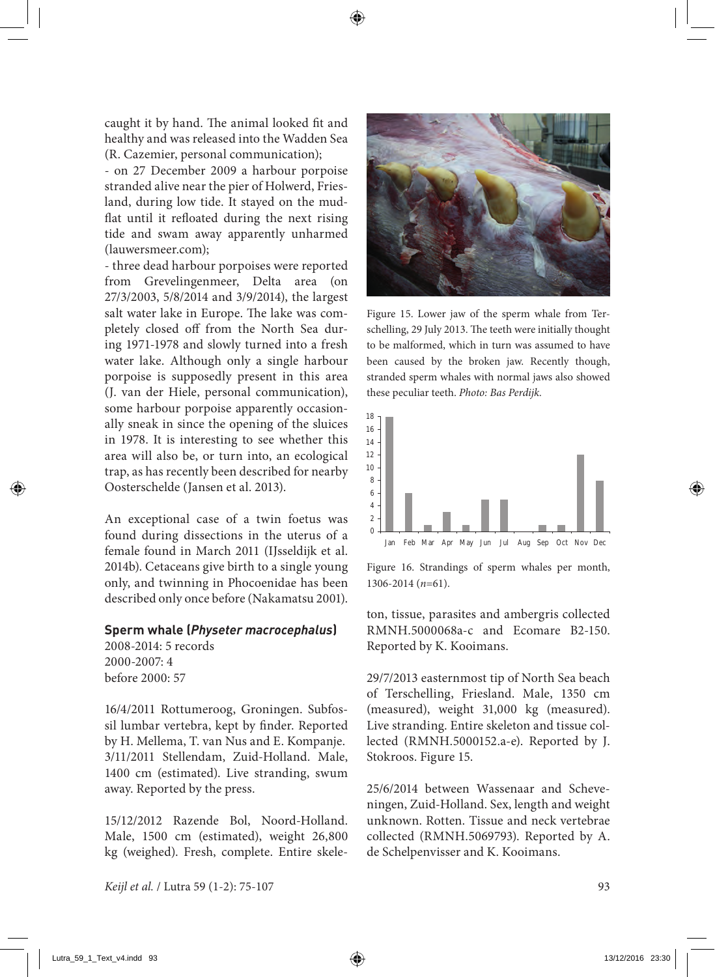caught it by hand. The animal looked fit and healthy and was released into the Wadden Sea (R. Cazemier, personal communication);

- on 27 December 2009 a harbour porpoise stranded alive near the pier of Holwerd, Friesland, during low tide. It stayed on the mudflat until it refloated during the next rising tide and swam away apparently unharmed (lauwersmeer.com);

- three dead harbour porpoises were reported from Grevelingenmeer, Delta area (on 27/3/2003, 5/8/2014 and 3/9/2014), the largest salt water lake in Europe. The lake was completely closed off from the North Sea during 1971-1978 and slowly turned into a fresh water lake. Although only a single harbour porpoise is supposedly present in this area (J. van der Hiele, personal communication), some harbour porpoise apparently occasionally sneak in since the opening of the sluices in 1978. It is interesting to see whether this area will also be, or turn into, an ecological trap, as has recently been described for nearby Oosterschelde (Jansen et al. 2013).

An exceptional case of a twin foetus was found during dissections in the uterus of a female found in March 2011 (IJsseldijk et al. 2014b). Cetaceans give birth to a single young only, and twinning in Phocoenidae has been described only once before (Nakamatsu 2001).

### **Sperm whale (***Physeter macrocephalus***)**

2008-2014: 5 records 2000-2007: 4 before 2000: 57

16/4/2011 Rottumeroog, Groningen. Subfossil lumbar vertebra, kept by finder. Reported by H. Mellema, T. van Nus and E. Kompanje. 3/11/2011 Stellendam, Zuid-Holland. Male, 1400 cm (estimated). Live stranding, swum away. Reported by the press.

15/12/2012 Razende Bol, Noord-Holland. Male, 1500 cm (estimated), weight 26,800 kg (weighed). Fresh, complete. Entire skele-



Figure 15. Lower jaw of the sperm whale from Terschelling, 29 July 2013. The teeth were initially thought to be malformed, which in turn was assumed to have been caused by the broken jaw. Recently though, stranded sperm whales with normal jaws also showed these peculiar teeth. *Photo: Bas Perdijk.*



Figure 16. Strandings of sperm whales per month, 1306-2014 (*n*=61).

ton, tissue, parasites and ambergris collected RMNH.5000068a-c and Ecomare B2-150. Reported by K. Kooimans.

29/7/2013 easternmost tip of North Sea beach of Terschelling, Friesland. Male, 1350 cm (measured), weight 31,000 kg (measured). Live stranding. Entire skeleton and tissue collected (RMNH.5000152.a-e). Reported by J. Stokroos. Figure 15.

25/6/2014 between Wassenaar and Scheveningen, Zuid-Holland. Sex, length and weight unknown. Rotten. Tissue and neck vertebrae collected (RMNH.5069793). Reported by A. de Schelpenvisser and K. Kooimans.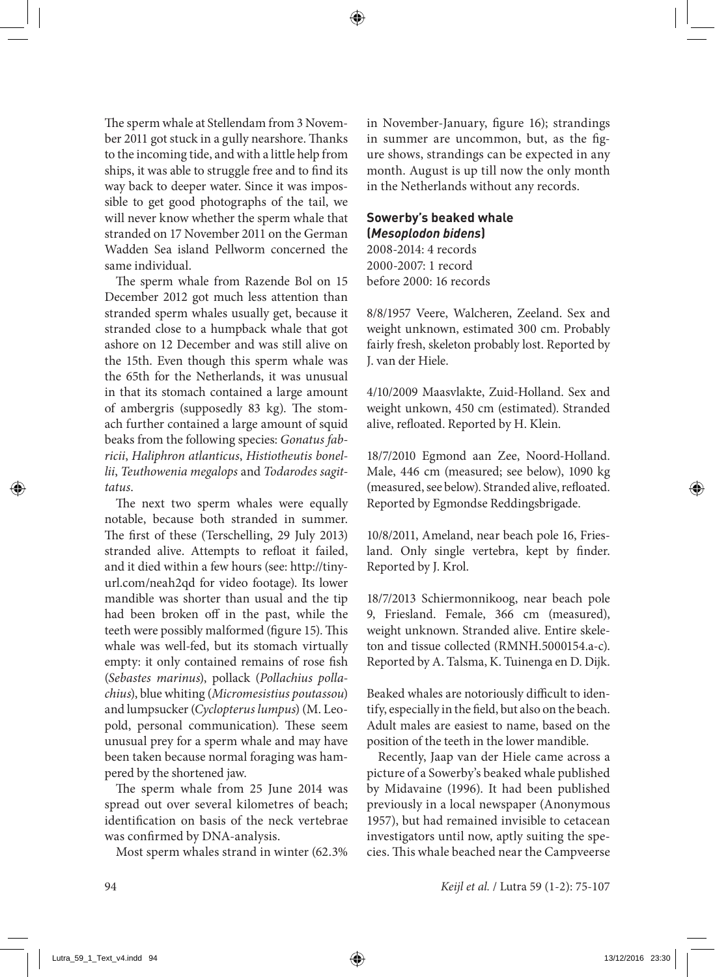The sperm whale at Stellendam from 3 November 2011 got stuck in a gully nearshore. Thanks to the incoming tide, and with a little help from ships, it was able to struggle free and to find its way back to deeper water. Since it was impossible to get good photographs of the tail, we will never know whether the sperm whale that stranded on 17 November 2011 on the German Wadden Sea island Pellworm concerned the same individual.

The sperm whale from Razende Bol on 15 December 2012 got much less attention than stranded sperm whales usually get, because it stranded close to a humpback whale that got ashore on 12 December and was still alive on the 15th. Even though this sperm whale was the 65th for the Netherlands, it was unusual in that its stomach contained a large amount of ambergris (supposedly 83 kg). The stomach further contained a large amount of squid beaks from the following species: *Gonatus fabricii*, *Haliphron atlanticus*, *Histiotheutis bonellii*, *Teuthowenia megalops* and *Todarodes sagittatus*.

The next two sperm whales were equally notable, because both stranded in summer. The first of these (Terschelling, 29 July 2013) stranded alive. Attempts to refloat it failed, and it died within a few hours (see: http://tinyurl.com/neah2qd for video footage). Its lower mandible was shorter than usual and the tip had been broken off in the past, while the teeth were possibly malformed (figure 15). This whale was well-fed, but its stomach virtually empty: it only contained remains of rose fish (*Sebastes marinus*), pollack (*Pollachius pollachius*), blue whiting (*Micromesistius poutassou*) and lumpsucker (*Cyclopterus lumpus*) (M. Leopold, personal communication). These seem unusual prey for a sperm whale and may have been taken because normal foraging was hampered by the shortened jaw.

The sperm whale from 25 June 2014 was spread out over several kilometres of beach; identification on basis of the neck vertebrae was confirmed by DNA-analysis.

Most sperm whales strand in winter (62.3%

in November-January, figure 16); strandings in summer are uncommon, but, as the figure shows, strandings can be expected in any month. August is up till now the only month in the Netherlands without any records.

### **Sowerby's beaked whale (***Mesoplodon bidens***)**

2008-2014: 4 records 2000-2007: 1 record before 2000: 16 records

8/8/1957 Veere, Walcheren, Zeeland. Sex and weight unknown, estimated 300 cm. Probably fairly fresh, skeleton probably lost. Reported by J. van der Hiele.

4/10/2009 Maasvlakte, Zuid-Holland. Sex and weight unkown, 450 cm (estimated). Stranded alive, refloated. Reported by H. Klein.

18/7/2010 Egmond aan Zee, Noord-Holland. Male, 446 cm (measured; see below), 1090 kg (measured, see below). Stranded alive, refloated. Reported by Egmondse Reddingsbrigade.

10/8/2011, Ameland, near beach pole 16, Friesland. Only single vertebra, kept by finder. Reported by J. Krol.

18/7/2013 Schiermonnikoog, near beach pole 9, Friesland. Female, 366 cm (measured), weight unknown. Stranded alive. Entire skeleton and tissue collected (RMNH.5000154.a-c). Reported by A. Talsma, K. Tuinenga en D. Dijk.

Beaked whales are notoriously difficult to identify, especially in the field, but also on the beach. Adult males are easiest to name, based on the position of the teeth in the lower mandible.

Recently, Jaap van der Hiele came across a picture of a Sowerby's beaked whale published by Midavaine (1996). It had been published previously in a local newspaper (Anonymous 1957), but had remained invisible to cetacean investigators until now, aptly suiting the species. This whale beached near the Campveerse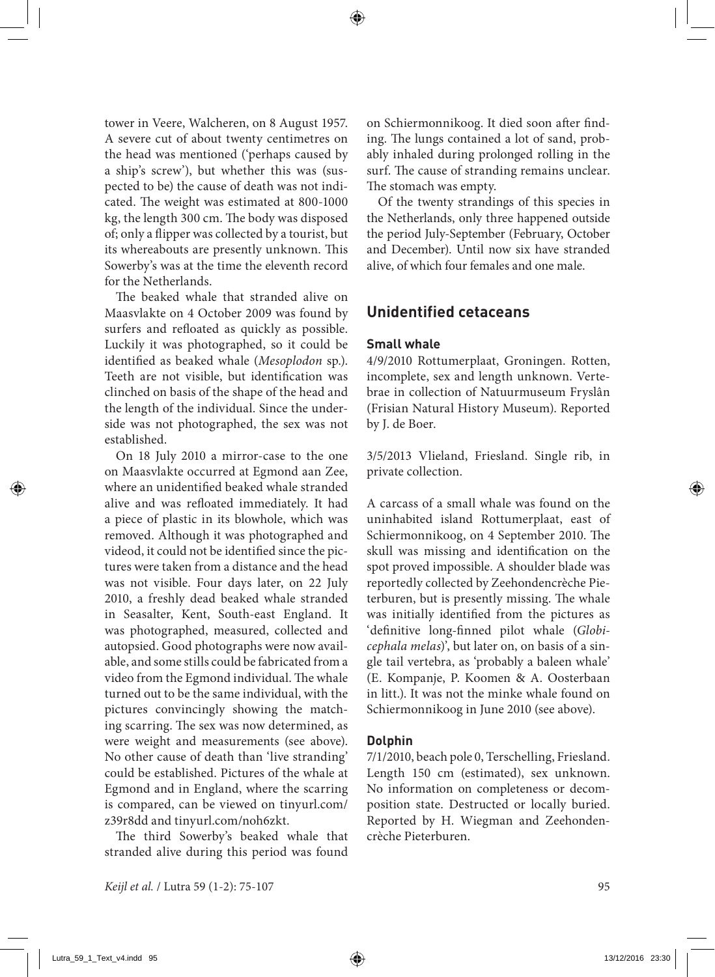tower in Veere, Walcheren, on 8 August 1957. A severe cut of about twenty centimetres on the head was mentioned ('perhaps caused by a ship's screw'), but whether this was (suspected to be) the cause of death was not indicated. The weight was estimated at 800-1000 kg, the length 300 cm. The body was disposed of; only a flipper was collected by a tourist, but its whereabouts are presently unknown. This Sowerby's was at the time the eleventh record for the Netherlands.

The beaked whale that stranded alive on Maasvlakte on 4 October 2009 was found by surfers and refloated as quickly as possible. Luckily it was photographed, so it could be identified as beaked whale (*Mesoplodon* sp.). Teeth are not visible, but identification was clinched on basis of the shape of the head and the length of the individual. Since the underside was not photographed, the sex was not established.

On 18 July 2010 a mirror-case to the one on Maasvlakte occurred at Egmond aan Zee, where an unidentified beaked whale stranded alive and was refloated immediately. It had a piece of plastic in its blowhole, which was removed. Although it was photographed and videod, it could not be identified since the pictures were taken from a distance and the head was not visible. Four days later, on 22 July 2010, a freshly dead beaked whale stranded in Seasalter, Kent, South-east England. It was photographed, measured, collected and autopsied. Good photographs were now available, and some stills could be fabricated from a video from the Egmond individual. The whale turned out to be the same individual, with the pictures convincingly showing the matching scarring. The sex was now determined, as were weight and measurements (see above). No other cause of death than 'live stranding' could be established. Pictures of the whale at Egmond and in England, where the scarring is compared, can be viewed on tinyurl.com/ z39r8dd and tinyurl.com/noh6zkt.

The third Sowerby's beaked whale that stranded alive during this period was found

on Schiermonnikoog. It died soon after finding. The lungs contained a lot of sand, probably inhaled during prolonged rolling in the surf. The cause of stranding remains unclear. The stomach was empty.

Of the twenty strandings of this species in the Netherlands, only three happened outside the period July-September (February, October and December). Until now six have stranded alive, of which four females and one male.

## **Unidentified cetaceans**

### **Small whale**

4/9/2010 Rottumerplaat, Groningen. Rotten, incomplete, sex and length unknown. Vertebrae in collection of Natuurmuseum Fryslân (Frisian Natural History Museum). Reported by J. de Boer.

3/5/2013 Vlieland, Friesland. Single rib, in private collection.

A carcass of a small whale was found on the uninhabited island Rottumerplaat, east of Schiermonnikoog, on 4 September 2010. The skull was missing and identification on the spot proved impossible. A shoulder blade was reportedly collected by Zeehondencrèche Pieterburen, but is presently missing. The whale was initially identified from the pictures as 'definitive long-finned pilot whale (*Globicephala melas*)', but later on, on basis of a single tail vertebra, as 'probably a baleen whale' (E. Kompanje, P. Koomen & A. Oosterbaan in litt.). It was not the minke whale found on Schiermonnikoog in June 2010 (see above).

### **Dolphin**

7/1/2010, beach pole 0, Terschelling, Friesland. Length 150 cm (estimated), sex unknown. No information on completeness or decomposition state. Destructed or locally buried. Reported by H. Wiegman and Zeehondencrèche Pieterburen.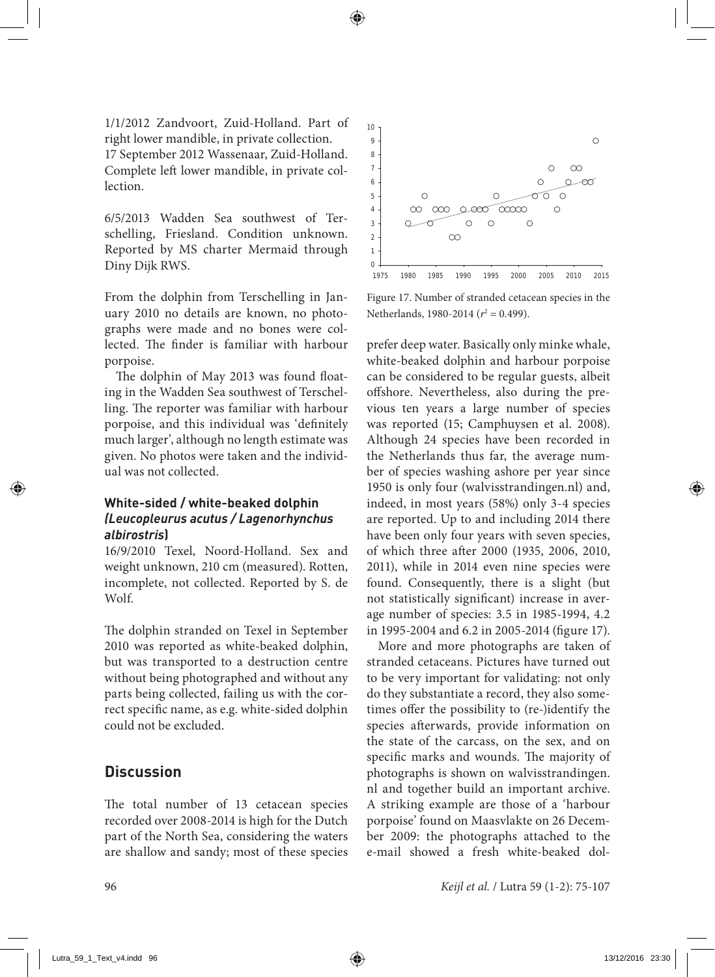1/1/2012 Zandvoort, Zuid-Holland. Part of right lower mandible, in private collection. 17 September 2012 Wassenaar, Zuid-Holland. Complete left lower mandible, in private collection.

6/5/2013 Wadden Sea southwest of Terschelling, Friesland. Condition unknown. Reported by MS charter Mermaid through Diny Dijk RWS.

From the dolphin from Terschelling in January 2010 no details are known, no photographs were made and no bones were collected. The finder is familiar with harbour porpoise.

The dolphin of May 2013 was found floating in the Wadden Sea southwest of Terschelling. The reporter was familiar with harbour porpoise, and this individual was 'definitely much larger', although no length estimate was given. No photos were taken and the individual was not collected.

### **White-sided / white-beaked dolphin**  *(Leucopleurus acutus / Lagenorhynchus albirostris***)**

16/9/2010 Texel, Noord-Holland. Sex and weight unknown, 210 cm (measured). Rotten, incomplete, not collected. Reported by S. de Wolf.

The dolphin stranded on Texel in September 2010 was reported as white-beaked dolphin, but was transported to a destruction centre without being photographed and without any parts being collected, failing us with the correct specific name, as e.g. white-sided dolphin could not be excluded.

## **Discussion**

The total number of 13 cetacean species recorded over 2008-2014 is high for the Dutch part of the North Sea, considering the waters are shallow and sandy; most of these species



Figure 17. Number of stranded cetacean species in the Netherlands, 1980-2014 ( $r^2 = 0.499$ ).

prefer deep water. Basically only minke whale, white-beaked dolphin and harbour porpoise can be considered to be regular guests, albeit offshore. Nevertheless, also during the previous ten years a large number of species was reported (15; Camphuysen et al. 2008). Although 24 species have been recorded in the Netherlands thus far, the average number of species washing ashore per year since 1950 is only four (walvisstrandingen.nl) and, indeed, in most years (58%) only 3-4 species are reported. Up to and including 2014 there have been only four years with seven species, of which three after 2000 (1935, 2006, 2010, 2011), while in 2014 even nine species were found. Consequently, there is a slight (but not statistically significant) increase in average number of species: 3.5 in 1985-1994, 4.2 in 1995-2004 and 6.2 in 2005-2014 (figure 17).

More and more photographs are taken of stranded cetaceans. Pictures have turned out to be very important for validating: not only do they substantiate a record, they also sometimes offer the possibility to (re-)identify the species afterwards, provide information on the state of the carcass, on the sex, and on specific marks and wounds. The majority of photographs is shown on walvisstrandingen. nl and together build an important archive. A striking example are those of a 'harbour porpoise' found on Maasvlakte on 26 December 2009: the photographs attached to the e-mail showed a fresh white-beaked dol-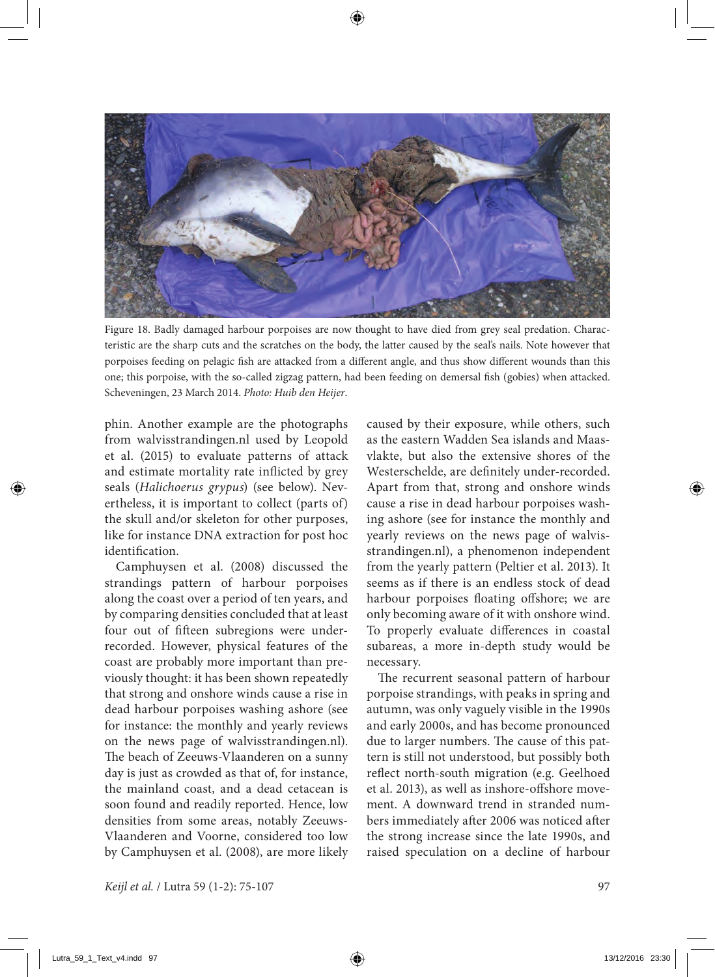

Figure 18. Badly damaged harbour porpoises are now thought to have died from grey seal predation. Characteristic are the sharp cuts and the scratches on the body, the latter caused by the seal's nails. Note however that porpoises feeding on pelagic fish are attacked from a different angle, and thus show different wounds than this one; this porpoise, with the so-called zigzag pattern, had been feeding on demersal fish (gobies) when attacked. Scheveningen, 23 March 2014. *Photo: Huib den Heijer*.

phin. Another example are the photographs from walvisstrandingen.nl used by Leopold et al. (2015) to evaluate patterns of attack and estimate mortality rate inflicted by grey seals (*Halichoerus grypus*) (see below). Nevertheless, it is important to collect (parts of) the skull and/or skeleton for other purposes, like for instance DNA extraction for post hoc identification.

Camphuysen et al. (2008) discussed the strandings pattern of harbour porpoises along the coast over a period of ten years, and by comparing densities concluded that at least four out of fifteen subregions were underrecorded. However, physical features of the coast are probably more important than previously thought: it has been shown repeatedly that strong and onshore winds cause a rise in dead harbour porpoises washing ashore (see for instance: the monthly and yearly reviews on the news page of walvisstrandingen.nl). The beach of Zeeuws-Vlaanderen on a sunny day is just as crowded as that of, for instance, the mainland coast, and a dead cetacean is soon found and readily reported. Hence, low densities from some areas, notably Zeeuws-Vlaanderen and Voorne, considered too low by Camphuysen et al. (2008), are more likely

caused by their exposure, while others, such as the eastern Wadden Sea islands and Maasvlakte, but also the extensive shores of the Westerschelde, are definitely under-recorded. Apart from that, strong and onshore winds cause a rise in dead harbour porpoises washing ashore (see for instance the monthly and yearly reviews on the news page of walvisstrandingen.nl), a phenomenon independent from the yearly pattern (Peltier et al. 2013). It seems as if there is an endless stock of dead harbour porpoises floating offshore; we are only becoming aware of it with onshore wind. To properly evaluate differences in coastal subareas, a more in-depth study would be necessary.

The recurrent seasonal pattern of harbour porpoise strandings, with peaks in spring and autumn, was only vaguely visible in the 1990s and early 2000s, and has become pronounced due to larger numbers. The cause of this pattern is still not understood, but possibly both reflect north-south migration (e.g. Geelhoed et al. 2013), as well as inshore-offshore movement. A downward trend in stranded numbers immediately after 2006 was noticed after the strong increase since the late 1990s, and raised speculation on a decline of harbour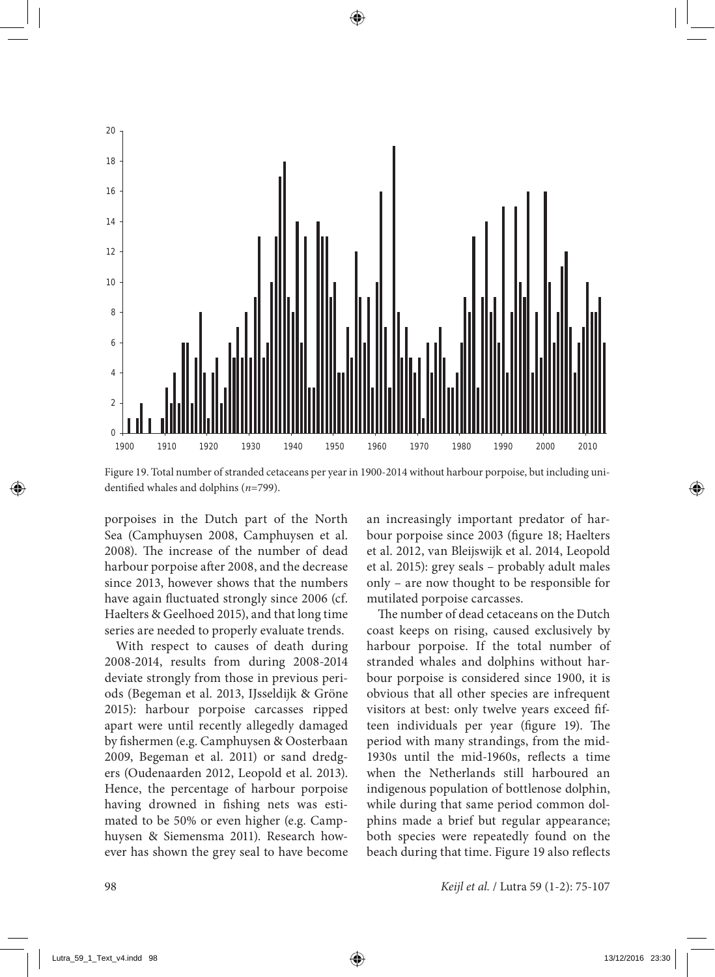

Figure 19. Total number of stranded cetaceans per year in 1900-2014 without harbour porpoise, but including unidentified whales and dolphins (*n*=799).

porpoises in the Dutch part of the North Sea (Camphuysen 2008, Camphuysen et al. 2008). The increase of the number of dead harbour porpoise after 2008, and the decrease since 2013, however shows that the numbers have again fluctuated strongly since 2006 (cf. Haelters & Geelhoed 2015), and that long time series are needed to properly evaluate trends.

With respect to causes of death during 2008-2014, results from during 2008-2014 deviate strongly from those in previous periods (Begeman et al. 2013, IJsseldijk & Gröne 2015): harbour porpoise carcasses ripped apart were until recently allegedly damaged by fishermen (e.g. Camphuysen & Oosterbaan 2009, Begeman et al. 2011) or sand dredgers (Oudenaarden 2012, Leopold et al. 2013). Hence, the percentage of harbour porpoise having drowned in fishing nets was estimated to be 50% or even higher (e.g. Camphuysen & Siemensma 2011). Research however has shown the grey seal to have become an increasingly important predator of harbour porpoise since 2003 (figure 18; Haelters et al. 2012, van Bleijswijk et al. 2014, Leopold et al. 2015): grey seals – probably adult males only – are now thought to be responsible for mutilated porpoise carcasses.

The number of dead cetaceans on the Dutch coast keeps on rising, caused exclusively by harbour porpoise. If the total number of stranded whales and dolphins without harbour porpoise is considered since 1900, it is obvious that all other species are infrequent visitors at best: only twelve years exceed fifteen individuals per year (figure 19). The period with many strandings, from the mid-1930s until the mid-1960s, reflects a time when the Netherlands still harboured an indigenous population of bottlenose dolphin, while during that same period common dolphins made a brief but regular appearance; both species were repeatedly found on the beach during that time. Figure 19 also reflects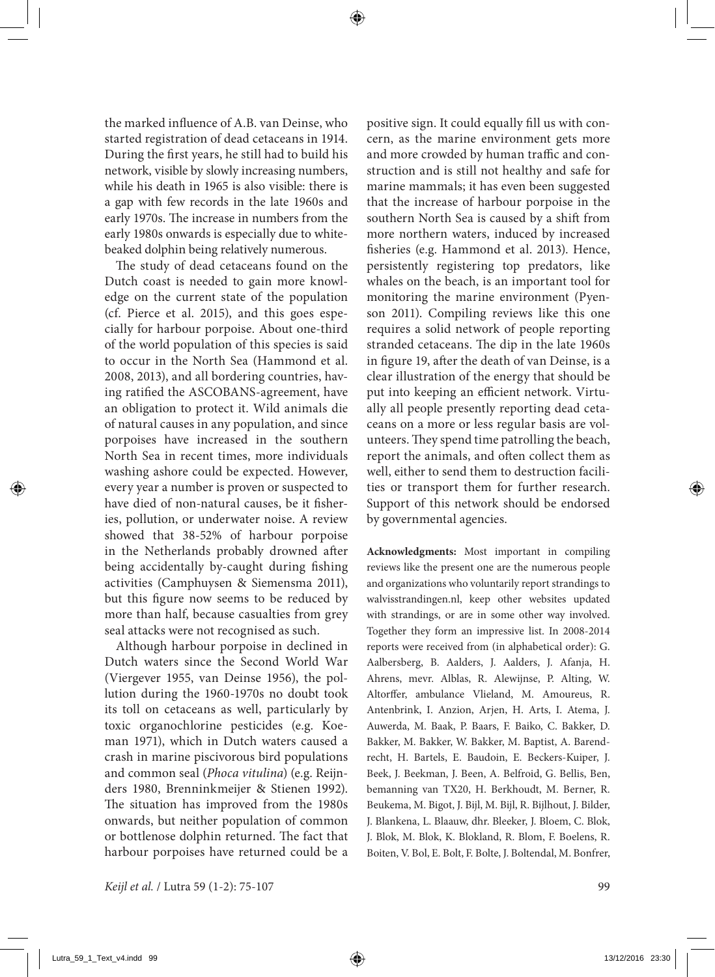the marked influence of A.B. van Deinse, who started registration of dead cetaceans in 1914. During the first years, he still had to build his network, visible by slowly increasing numbers, while his death in 1965 is also visible: there is a gap with few records in the late 1960s and early 1970s. The increase in numbers from the early 1980s onwards is especially due to whitebeaked dolphin being relatively numerous.

The study of dead cetaceans found on the Dutch coast is needed to gain more knowledge on the current state of the population (cf. Pierce et al. 2015), and this goes especially for harbour porpoise. About one-third of the world population of this species is said to occur in the North Sea (Hammond et al. 2008, 2013), and all bordering countries, having ratified the ASCOBANS-agreement, have an obligation to protect it. Wild animals die of natural causes in any population, and since porpoises have increased in the southern North Sea in recent times, more individuals washing ashore could be expected. However, every year a number is proven or suspected to have died of non-natural causes, be it fisheries, pollution, or underwater noise. A review showed that 38-52% of harbour porpoise in the Netherlands probably drowned after being accidentally by-caught during fishing activities (Camphuysen & Siemensma 2011), but this figure now seems to be reduced by more than half, because casualties from grey seal attacks were not recognised as such.

Although harbour porpoise in declined in Dutch waters since the Second World War (Viergever 1955, van Deinse 1956), the pollution during the 1960-1970s no doubt took its toll on cetaceans as well, particularly by toxic organochlorine pesticides (e.g. Koeman 1971), which in Dutch waters caused a crash in marine piscivorous bird populations and common seal (*Phoca vitulina*) (e.g. Reijnders 1980, Brenninkmeijer & Stienen 1992). The situation has improved from the 1980s onwards, but neither population of common or bottlenose dolphin returned. The fact that harbour porpoises have returned could be a positive sign. It could equally fill us with concern, as the marine environment gets more and more crowded by human traffic and construction and is still not healthy and safe for marine mammals; it has even been suggested that the increase of harbour porpoise in the southern North Sea is caused by a shift from more northern waters, induced by increased fisheries (e.g. Hammond et al. 2013). Hence, persistently registering top predators, like whales on the beach, is an important tool for monitoring the marine environment (Pyenson 2011). Compiling reviews like this one requires a solid network of people reporting stranded cetaceans. The dip in the late 1960s in figure 19, after the death of van Deinse, is a clear illustration of the energy that should be put into keeping an efficient network. Virtually all people presently reporting dead cetaceans on a more or less regular basis are volunteers. They spend time patrolling the beach, report the animals, and often collect them as well, either to send them to destruction facilities or transport them for further research. Support of this network should be endorsed by governmental agencies.

**Acknowledgments:** Most important in compiling reviews like the present one are the numerous people and organizations who voluntarily report strandings to walvisstrandingen.nl, keep other websites updated with strandings, or are in some other way involved. Together they form an impressive list. In 2008-2014 reports were received from (in alphabetical order): G. Aalbersberg, B. Aalders, J. Aalders, J. Afanja, H. Ahrens, mevr. Alblas, R. Alewijnse, P. Alting, W. Altorffer, ambulance Vlieland, M. Amoureus, R. Antenbrink, I. Anzion, Arjen, H. Arts, I. Atema, J. Auwerda, M. Baak, P. Baars, F. Baiko, C. Bakker, D. Bakker, M. Bakker, W. Bakker, M. Baptist, A. Barendrecht, H. Bartels, E. Baudoin, E. Beckers-Kuiper, J. Beek, J. Beekman, J. Been, A. Belfroid, G. Bellis, Ben, bemanning van TX20, H. Berkhoudt, M. Berner, R. Beukema, M. Bigot, J. Bijl, M. Bijl, R. Bijlhout, J. Bilder, J. Blankena, L. Blaauw, dhr. Bleeker, J. Bloem, C. Blok, J. Blok, M. Blok, K. Blokland, R. Blom, F. Boelens, R. Boiten, V. Bol, E. Bolt, F. Bolte, J. Boltendal, M. Bonfrer,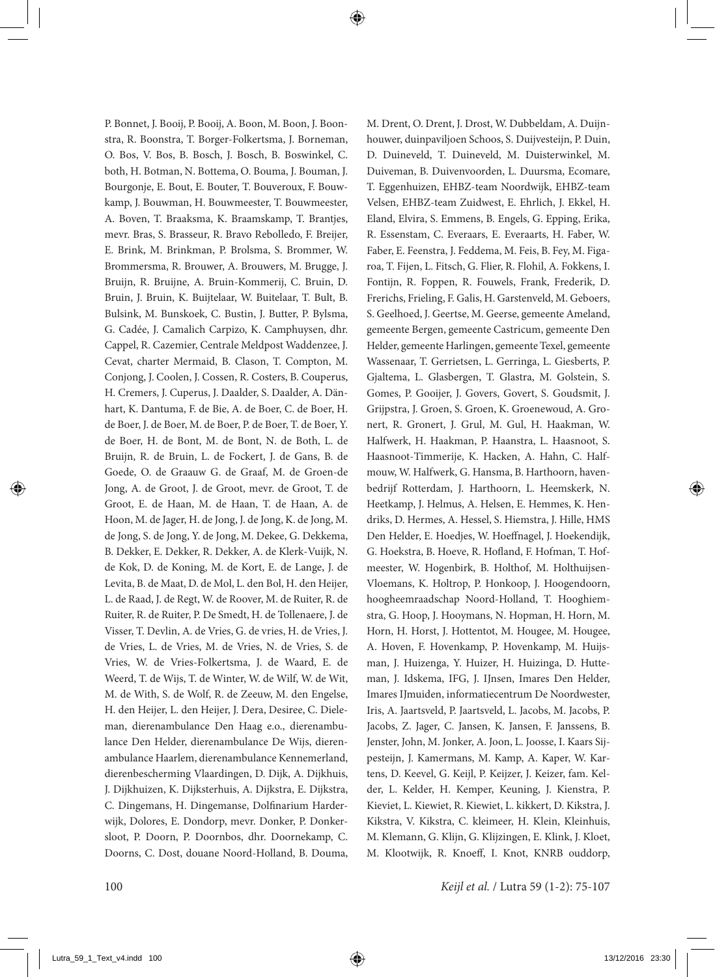P. Bonnet, J. Booij, P. Booij, A. Boon, M. Boon, J. Boonstra, R. Boonstra, T. Borger-Folkertsma, J. Borneman, O. Bos, V. Bos, B. Bosch, J. Bosch, B. Boswinkel, C. both, H. Botman, N. Bottema, O. Bouma, J. Bouman, J. Bourgonje, E. Bout, E. Bouter, T. Bouveroux, F. Bouwkamp, J. Bouwman, H. Bouwmeester, T. Bouwmeester, A. Boven, T. Braaksma, K. Braamskamp, T. Brantjes, mevr. Bras, S. Brasseur, R. Bravo Rebolledo, F. Breijer, E. Brink, M. Brinkman, P. Brolsma, S. Brommer, W. Brommersma, R. Brouwer, A. Brouwers, M. Brugge, J. Bruijn, R. Bruijne, A. Bruin-Kommerij, C. Bruin, D. Bruin, J. Bruin, K. Buijtelaar, W. Buitelaar, T. Bult, B. Bulsink, M. Bunskoek, C. Bustin, J. Butter, P. Bylsma, G. Cadée, J. Camalich Carpizo, K. Camphuysen, dhr. Cappel, R. Cazemier, Centrale Meldpost Waddenzee, J. Cevat, charter Mermaid, B. Clason, T. Compton, M. Conjong, J. Coolen, J. Cossen, R. Costers, B. Couperus, H. Cremers, J. Cuperus, J. Daalder, S. Daalder, A. Dänhart, K. Dantuma, F. de Bie, A. de Boer, C. de Boer, H. de Boer, J. de Boer, M. de Boer, P. de Boer, T. de Boer, Y. de Boer, H. de Bont, M. de Bont, N. de Both, L. de Bruijn, R. de Bruin, L. de Fockert, J. de Gans, B. de Goede, O. de Graauw G. de Graaf, M. de Groen-de Jong, A. de Groot, J. de Groot, mevr. de Groot, T. de Groot, E. de Haan, M. de Haan, T. de Haan, A. de Hoon, M. de Jager, H. de Jong, J. de Jong, K. de Jong, M. de Jong, S. de Jong, Y. de Jong, M. Dekee, G. Dekkema, B. Dekker, E. Dekker, R. Dekker, A. de Klerk-Vuijk, N. de Kok, D. de Koning, M. de Kort, E. de Lange, J. de Levita, B. de Maat, D. de Mol, L. den Bol, H. den Heijer, L. de Raad, J. de Regt, W. de Roover, M. de Ruiter, R. de Ruiter, R. de Ruiter, P. De Smedt, H. de Tollenaere, J. de Visser, T. Devlin, A. de Vries, G. de vries, H. de Vries, J. de Vries, L. de Vries, M. de Vries, N. de Vries, S. de Vries, W. de Vries-Folkertsma, J. de Waard, E. de Weerd, T. de Wijs, T. de Winter, W. de Wilf, W. de Wit, M. de With, S. de Wolf, R. de Zeeuw, M. den Engelse, H. den Heijer, L. den Heijer, J. Dera, Desiree, C. Dieleman, dierenambulance Den Haag e.o., dierenambulance Den Helder, dierenambulance De Wijs, dierenambulance Haarlem, dierenambulance Kennemerland, dierenbescherming Vlaardingen, D. Dijk, A. Dijkhuis, J. Dijkhuizen, K. Dijksterhuis, A. Dijkstra, E. Dijkstra, C. Dingemans, H. Dingemanse, Dolfinarium Harderwijk, Dolores, E. Dondorp, mevr. Donker, P. Donkersloot, P. Doorn, P. Doornbos, dhr. Doornekamp, C. Doorns, C. Dost, douane Noord-Holland, B. Douma, M. Drent, O. Drent, J. Drost, W. Dubbeldam, A. Duijnhouwer, duinpaviljoen Schoos, S. Duijvesteijn, P. Duin, D. Duineveld, T. Duineveld, M. Duisterwinkel, M. Duiveman, B. Duivenvoorden, L. Duursma, Ecomare, T. Eggenhuizen, EHBZ-team Noordwijk, EHBZ-team Velsen, EHBZ-team Zuidwest, E. Ehrlich, J. Ekkel, H. Eland, Elvira, S. Emmens, B. Engels, G. Epping, Erika, R. Essenstam, C. Everaars, E. Everaarts, H. Faber, W. Faber, E. Feenstra, J. Feddema, M. Feis, B. Fey, M. Figaroa, T. Fijen, L. Fitsch, G. Flier, R. Flohil, A. Fokkens, I. Fontijn, R. Foppen, R. Fouwels, Frank, Frederik, D. Frerichs, Frieling, F. Galis, H. Garstenveld, M. Geboers, S. Geelhoed, J. Geertse, M. Geerse, gemeente Ameland, gemeente Bergen, gemeente Castricum, gemeente Den Helder, gemeente Harlingen, gemeente Texel, gemeente Wassenaar, T. Gerrietsen, L. Gerringa, L. Giesberts, P. Gjaltema, L. Glasbergen, T. Glastra, M. Golstein, S. Gomes, P. Gooijer, J. Govers, Govert, S. Goudsmit, J. Grijpstra, J. Groen, S. Groen, K. Groenewoud, A. Gronert, R. Gronert, J. Grul, M. Gul, H. Haakman, W. Halfwerk, H. Haakman, P. Haanstra, L. Haasnoot, S. Haasnoot-Timmerije, K. Hacken, A. Hahn, C. Halfmouw, W. Halfwerk, G. Hansma, B. Harthoorn, havenbedrijf Rotterdam, J. Harthoorn, L. Heemskerk, N. Heetkamp, J. Helmus, A. Helsen, E. Hemmes, K. Hendriks, D. Hermes, A. Hessel, S. Hiemstra, J. Hille, HMS Den Helder, E. Hoedjes, W. Hoeffnagel, J. Hoekendijk, G. Hoekstra, B. Hoeve, R. Hofland, F. Hofman, T. Hofmeester, W. Hogenbirk, B. Holthof, M. Holthuijsen-Vloemans, K. Holtrop, P. Honkoop, J. Hoogendoorn, hoogheemraadschap Noord-Holland, T. Hooghiemstra, G. Hoop, J. Hooymans, N. Hopman, H. Horn, M. Horn, H. Horst, J. Hottentot, M. Hougee, M. Hougee, A. Hoven, F. Hovenkamp, P. Hovenkamp, M. Huijsman, J. Huizenga, Y. Huizer, H. Huizinga, D. Hutteman, J. Idskema, IFG, J. IJnsen, Imares Den Helder, Imares IJmuiden, informatiecentrum De Noordwester, Iris, A. Jaartsveld, P. Jaartsveld, L. Jacobs, M. Jacobs, P. Jacobs, Z. Jager, C. Jansen, K. Jansen, F. Janssens, B. Jenster, John, M. Jonker, A. Joon, L. Joosse, I. Kaars Sijpesteijn, J. Kamermans, M. Kamp, A. Kaper, W. Kartens, D. Keevel, G. Keijl, P. Keijzer, J. Keizer, fam. Kelder, L. Kelder, H. Kemper, Keuning, J. Kienstra, P. Kieviet, L. Kiewiet, R. Kiewiet, L. kikkert, D. Kikstra, J. Kikstra, V. Kikstra, C. kleimeer, H. Klein, Kleinhuis, M. Klemann, G. Klijn, G. Klijzingen, E. Klink, J. Kloet, M. Klootwijk, R. Knoeff, I. Knot, KNRB ouddorp,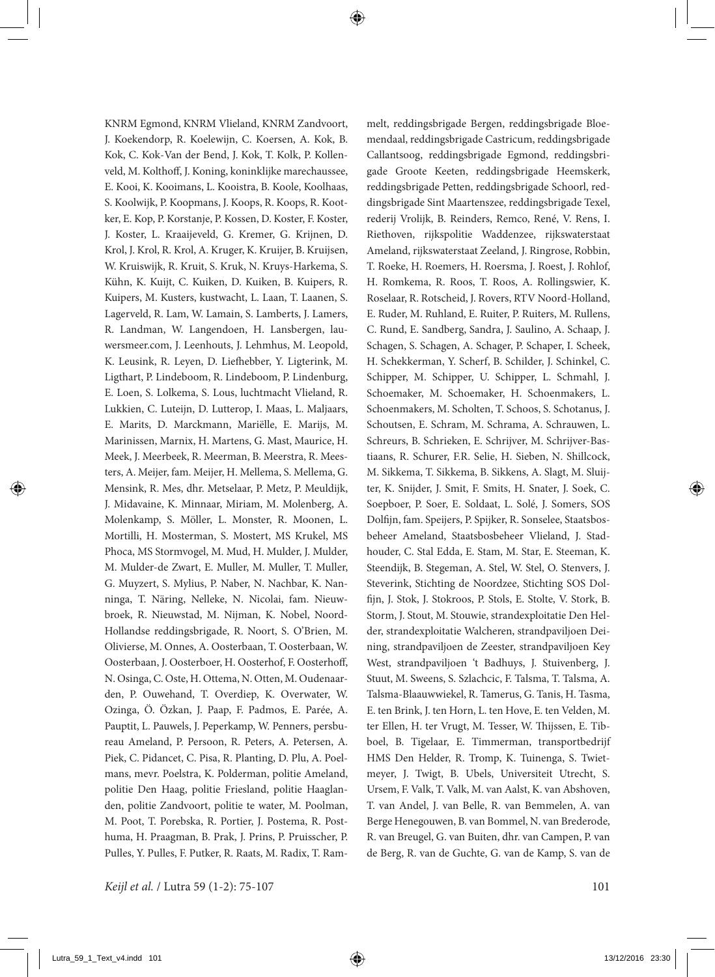KNRM Egmond, KNRM Vlieland, KNRM Zandvoort, J. Koekendorp, R. Koelewijn, C. Koersen, A. Kok, B. Kok, C. Kok-Van der Bend, J. Kok, T. Kolk, P. Kollenveld, M. Kolthoff, J. Koning, koninklijke marechaussee, E. Kooi, K. Kooimans, L. Kooistra, B. Koole, Koolhaas, S. Koolwijk, P. Koopmans, J. Koops, R. Koops, R. Kootker, E. Kop, P. Korstanje, P. Kossen, D. Koster, F. Koster, J. Koster, L. Kraaijeveld, G. Kremer, G. Krijnen, D. Krol, J. Krol, R. Krol, A. Kruger, K. Kruijer, B. Kruijsen, W. Kruiswijk, R. Kruit, S. Kruk, N. Kruys-Harkema, S. Kühn, K. Kuijt, C. Kuiken, D. Kuiken, B. Kuipers, R. Kuipers, M. Kusters, kustwacht, L. Laan, T. Laanen, S. Lagerveld, R. Lam, W. Lamain, S. Lamberts, J. Lamers, R. Landman, W. Langendoen, H. Lansbergen, lauwersmeer.com, J. Leenhouts, J. Lehmhus, M. Leopold, K. Leusink, R. Leyen, D. Liefhebber, Y. Ligterink, M. Ligthart, P. Lindeboom, R. Lindeboom, P. Lindenburg, E. Loen, S. Lolkema, S. Lous, luchtmacht Vlieland, R. Lukkien, C. Luteijn, D. Lutterop, I. Maas, L. Maljaars, E. Marits, D. Marckmann, Mariëlle, E. Marijs, M. Marinissen, Marnix, H. Martens, G. Mast, Maurice, H. Meek, J. Meerbeek, R. Meerman, B. Meerstra, R. Meesters, A. Meijer, fam. Meijer, H. Mellema, S. Mellema, G. Mensink, R. Mes, dhr. Metselaar, P. Metz, P. Meuldijk, J. Midavaine, K. Minnaar, Miriam, M. Molenberg, A. Molenkamp, S. Möller, L. Monster, R. Moonen, L. Mortilli, H. Mosterman, S. Mostert, MS Krukel, MS Phoca, MS Stormvogel, M. Mud, H. Mulder, J. Mulder, M. Mulder-de Zwart, E. Muller, M. Muller, T. Muller, G. Muyzert, S. Mylius, P. Naber, N. Nachbar, K. Nanninga, T. Näring, Nelleke, N. Nicolai, fam. Nieuwbroek, R. Nieuwstad, M. Nijman, K. Nobel, Noord-Hollandse reddingsbrigade, R. Noort, S. O'Brien, M. Olivierse, M. Onnes, A. Oosterbaan, T. Oosterbaan, W. Oosterbaan, J. Oosterboer, H. Oosterhof, F. Oosterhoff, N. Osinga, C. Oste, H. Ottema, N. Otten, M. Oudenaarden, P. Ouwehand, T. Overdiep, K. Overwater, W. Ozinga, Ö. Özkan, J. Paap, F. Padmos, E. Parée, A. Pauptit, L. Pauwels, J. Peperkamp, W. Penners, persbureau Ameland, P. Persoon, R. Peters, A. Petersen, A. Piek, C. Pidancet, C. Pisa, R. Planting, D. Plu, A. Poelmans, mevr. Poelstra, K. Polderman, politie Ameland, politie Den Haag, politie Friesland, politie Haaglanden, politie Zandvoort, politie te water, M. Poolman, M. Poot, T. Porebska, R. Portier, J. Postema, R. Posthuma, H. Praagman, B. Prak, J. Prins, P. Pruisscher, P. Pulles, Y. Pulles, F. Putker, R. Raats, M. Radix, T. Rammelt, reddingsbrigade Bergen, reddingsbrigade Bloemendaal, reddingsbrigade Castricum, reddingsbrigade Callantsoog, reddingsbrigade Egmond, reddingsbrigade Groote Keeten, reddingsbrigade Heemskerk, reddingsbrigade Petten, reddingsbrigade Schoorl, reddingsbrigade Sint Maartenszee, reddingsbrigade Texel, rederij Vrolijk, B. Reinders, Remco, René, V. Rens, I. Riethoven, rijkspolitie Waddenzee, rijkswaterstaat Ameland, rijkswaterstaat Zeeland, J. Ringrose, Robbin, T. Roeke, H. Roemers, H. Roersma, J. Roest, J. Rohlof, H. Romkema, R. Roos, T. Roos, A. Rollingswier, K. Roselaar, R. Rotscheid, J. Rovers, RTV Noord-Holland, E. Ruder, M. Ruhland, E. Ruiter, P. Ruiters, M. Rullens, C. Rund, E. Sandberg, Sandra, J. Saulino, A. Schaap, J. Schagen, S. Schagen, A. Schager, P. Schaper, I. Scheek, H. Schekkerman, Y. Scherf, B. Schilder, J. Schinkel, C. Schipper, M. Schipper, U. Schipper, L. Schmahl, J. Schoemaker, M. Schoemaker, H. Schoenmakers, L. Schoenmakers, M. Scholten, T. Schoos, S. Schotanus, J. Schoutsen, E. Schram, M. Schrama, A. Schrauwen, L. Schreurs, B. Schrieken, E. Schrijver, M. Schrijver-Bastiaans, R. Schurer, F.R. Selie, H. Sieben, N. Shillcock, M. Sikkema, T. Sikkema, B. Sikkens, A. Slagt, M. Sluijter, K. Snijder, J. Smit, F. Smits, H. Snater, J. Soek, C. Soepboer, P. Soer, E. Soldaat, L. Solé, J. Somers, SOS Dolfijn, fam. Speijers, P. Spijker, R. Sonselee, Staatsbosbeheer Ameland, Staatsbosbeheer Vlieland, J. Stadhouder, C. Stal Edda, E. Stam, M. Star, E. Steeman, K. Steendijk, B. Stegeman, A. Stel, W. Stel, O. Stenvers, J. Steverink, Stichting de Noordzee, Stichting SOS Dolfijn, J. Stok, J. Stokroos, P. Stols, E. Stolte, V. Stork, B. Storm, J. Stout, M. Stouwie, strandexploitatie Den Helder, strandexploitatie Walcheren, strandpaviljoen Deining, strandpaviljoen de Zeester, strandpaviljoen Key West, strandpaviljoen 't Badhuys, J. Stuivenberg, J. Stuut, M. Sweens, S. Szlachcic, F. Talsma, T. Talsma, A. Talsma-Blaauwwiekel, R. Tamerus, G. Tanis, H. Tasma, E. ten Brink, J. ten Horn, L. ten Hove, E. ten Velden, M. ter Ellen, H. ter Vrugt, M. Tesser, W. Thijssen, E. Tibboel, B. Tigelaar, E. Timmerman, transportbedrijf HMS Den Helder, R. Tromp, K. Tuinenga, S. Twietmeyer, J. Twigt, B. Ubels, Universiteit Utrecht, S. Ursem, F. Valk, T. Valk, M. van Aalst, K. van Abshoven, T. van Andel, J. van Belle, R. van Bemmelen, A. van Berge Henegouwen, B. van Bommel, N. van Brederode, R. van Breugel, G. van Buiten, dhr. van Campen, P. van de Berg, R. van de Guchte, G. van de Kamp, S. van de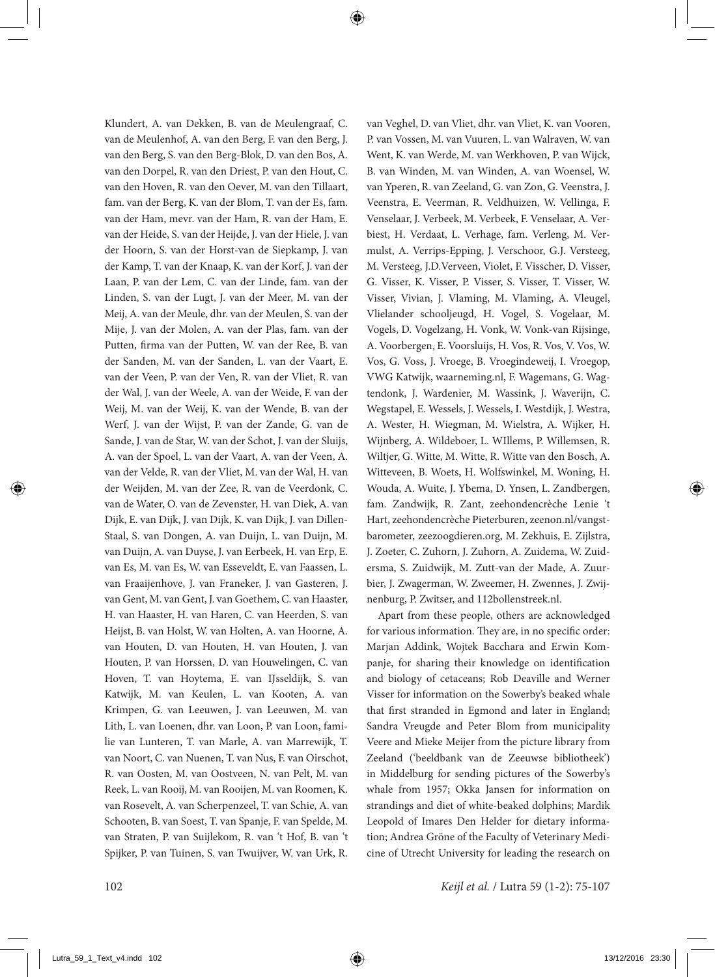Klundert, A. van Dekken, B. van de Meulengraaf, C. van de Meulenhof, A. van den Berg, F. van den Berg, J. van den Berg, S. van den Berg-Blok, D. van den Bos, A. van den Dorpel, R. van den Driest, P. van den Hout, C. van den Hoven, R. van den Oever, M. van den Tillaart, fam. van der Berg, K. van der Blom, T. van der Es, fam. van der Ham, mevr. van der Ham, R. van der Ham, E. van der Heide, S. van der Heijde, J. van der Hiele, J. van der Hoorn, S. van der Horst-van de Siepkamp, J. van der Kamp, T. van der Knaap, K. van der Korf, J. van der Laan, P. van der Lem, C. van der Linde, fam. van der Linden, S. van der Lugt, J. van der Meer, M. van der Meij, A. van der Meule, dhr. van der Meulen, S. van der Mije, J. van der Molen, A. van der Plas, fam. van der Putten, firma van der Putten, W. van der Ree, B. van der Sanden, M. van der Sanden, L. van der Vaart, E. van der Veen, P. van der Ven, R. van der Vliet, R. van der Wal, J. van der Weele, A. van der Weide, F. van der Weij, M. van der Weij, K. van der Wende, B. van der Werf, J. van der Wijst, P. van der Zande, G. van de Sande, J. van de Star, W. van der Schot, J. van der Sluijs, A. van der Spoel, L. van der Vaart, A. van der Veen, A. van der Velde, R. van der Vliet, M. van der Wal, H. van der Weijden, M. van der Zee, R. van de Veerdonk, C. van de Water, O. van de Zevenster, H. van Diek, A. van Dijk, E. van Dijk, J. van Dijk, K. van Dijk, J. van Dillen-Staal, S. van Dongen, A. van Duijn, L. van Duijn, M. van Duijn, A. van Duyse, J. van Eerbeek, H. van Erp, E. van Es, M. van Es, W. van Esseveldt, E. van Faassen, L. van Fraaijenhove, J. van Franeker, J. van Gasteren, J. van Gent, M. van Gent, J. van Goethem, C. van Haaster, H. van Haaster, H. van Haren, C. van Heerden, S. van Heijst, B. van Holst, W. van Holten, A. van Hoorne, A. van Houten, D. van Houten, H. van Houten, J. van Houten, P. van Horssen, D. van Houwelingen, C. van Hoven, T. van Hoytema, E. van IJsseldijk, S. van Katwijk, M. van Keulen, L. van Kooten, A. van Krimpen, G. van Leeuwen, J. van Leeuwen, M. van Lith, L. van Loenen, dhr. van Loon, P. van Loon, familie van Lunteren, T. van Marle, A. van Marrewijk, T. van Noort, C. van Nuenen, T. van Nus, F. van Oirschot, R. van Oosten, M. van Oostveen, N. van Pelt, M. van Reek, L. van Rooij, M. van Rooijen, M. van Roomen, K. van Rosevelt, A. van Scherpenzeel, T. van Schie, A. van Schooten, B. van Soest, T. van Spanje, F. van Spelde, M. van Straten, P. van Suijlekom, R. van 't Hof, B. van 't Spijker, P. van Tuinen, S. van Twuijver, W. van Urk, R. van Veghel, D. van Vliet, dhr. van Vliet, K. van Vooren, P. van Vossen, M. van Vuuren, L. van Walraven, W. van Went, K. van Werde, M. van Werkhoven, P. van Wijck, B. van Winden, M. van Winden, A. van Woensel, W. van Yperen, R. van Zeeland, G. van Zon, G. Veenstra, J. Veenstra, E. Veerman, R. Veldhuizen, W. Vellinga, F. Venselaar, J. Verbeek, M. Verbeek, F. Venselaar, A. Verbiest, H. Verdaat, L. Verhage, fam. Verleng, M. Vermulst, A. Verrips-Epping, J. Verschoor, G.J. Versteeg, M. Versteeg, J.D.Verveen, Violet, F. Visscher, D. Visser, G. Visser, K. Visser, P. Visser, S. Visser, T. Visser, W. Visser, Vivian, J. Vlaming, M. Vlaming, A. Vleugel, Vlielander schooljeugd, H. Vogel, S. Vogelaar, M. Vogels, D. Vogelzang, H. Vonk, W. Vonk-van Rijsinge, A. Voorbergen, E. Voorsluijs, H. Vos, R. Vos, V. Vos, W. Vos, G. Voss, J. Vroege, B. Vroegindeweij, I. Vroegop, VWG Katwijk, waarneming.nl, F. Wagemans, G. Wagtendonk, J. Wardenier, M. Wassink, J. Waverijn, C. Wegstapel, E. Wessels, J. Wessels, I. Westdijk, J. Westra, A. Wester, H. Wiegman, M. Wielstra, A. Wijker, H. Wijnberg, A. Wildeboer, L. WIllems, P. Willemsen, R. Wiltjer, G. Witte, M. Witte, R. Witte van den Bosch, A. Witteveen, B. Woets, H. Wolfswinkel, M. Woning, H. Wouda, A. Wuite, J. Ybema, D. Ynsen, L. Zandbergen, fam. Zandwijk, R. Zant, zeehondencrèche Lenie 't Hart, zeehondencrèche Pieterburen, zeenon.nl/vangstbarometer, zeezoogdieren.org, M. Zekhuis, E. Zijlstra, J. Zoeter, C. Zuhorn, J. Zuhorn, A. Zuidema, W. Zuidersma, S. Zuidwijk, M. Zutt-van der Made, A. Zuurbier, J. Zwagerman, W. Zweemer, H. Zwennes, J. Zwijnenburg, P. Zwitser, and 112bollenstreek.nl.

Apart from these people, others are acknowledged for various information. They are, in no specific order: Marjan Addink, Wojtek Bacchara and Erwin Kompanje, for sharing their knowledge on identification and biology of cetaceans; Rob Deaville and Werner Visser for information on the Sowerby's beaked whale that first stranded in Egmond and later in England; Sandra Vreugde and Peter Blom from municipality Veere and Mieke Meijer from the picture library from Zeeland ('beeldbank van de Zeeuwse bibliotheek') in Middelburg for sending pictures of the Sowerby's whale from 1957; Okka Jansen for information on strandings and diet of white-beaked dolphins; Mardik Leopold of Imares Den Helder for dietary information; Andrea Gröne of the Faculty of Veterinary Medicine of Utrecht University for leading the research on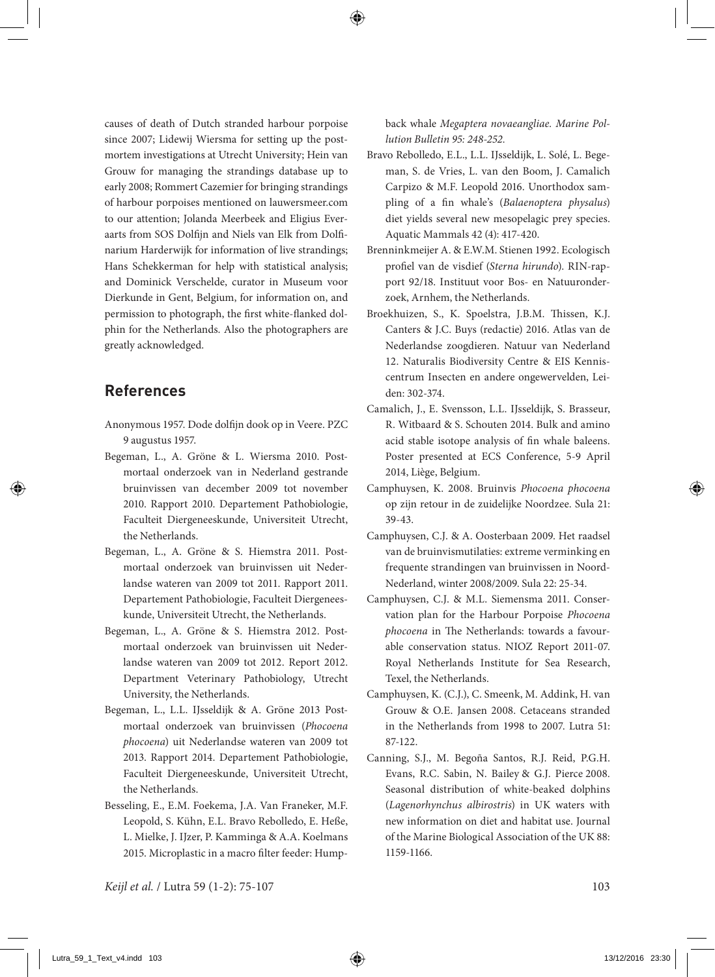causes of death of Dutch stranded harbour porpoise since 2007; Lidewij Wiersma for setting up the postmortem investigations at Utrecht University; Hein van Grouw for managing the strandings database up to early 2008; Rommert Cazemier for bringing strandings of harbour porpoises mentioned on lauwersmeer.com to our attention; Jolanda Meerbeek and Eligius Everaarts from SOS Dolfijn and Niels van Elk from Dolfinarium Harderwijk for information of live strandings; Hans Schekkerman for help with statistical analysis; and Dominick Verschelde, curator in Museum voor Dierkunde in Gent, Belgium, for information on, and permission to photograph, the first white-flanked dolphin for the Netherlands. Also the photographers are greatly acknowledged.

## **References**

- Anonymous 1957. Dode dolfijn dook op in Veere. PZC 9 augustus 1957.
- Begeman, L., A. Gröne & L. Wiersma 2010. Postmortaal onderzoek van in Nederland gestrande bruinvissen van december 2009 tot november 2010. Rapport 2010. Departement Pathobiologie, Faculteit Diergeneeskunde, Universiteit Utrecht, the Netherlands.
- Begeman, L., A. Gröne & S. Hiemstra 2011. Postmortaal onderzoek van bruinvissen uit Nederlandse wateren van 2009 tot 2011. Rapport 2011. Departement Pathobiologie, Faculteit Diergeneeskunde, Universiteit Utrecht, the Netherlands.
- Begeman, L., A. Gröne & S. Hiemstra 2012. Postmortaal onderzoek van bruinvissen uit Nederlandse wateren van 2009 tot 2012. Report 2012. Department Veterinary Pathobiology, Utrecht University, the Netherlands.
- Begeman, L., L.L. IJsseldijk & A. Gröne 2013 Postmortaal onderzoek van bruinvissen (*Phocoena phocoena*) uit Nederlandse wateren van 2009 tot 2013. Rapport 2014. Departement Pathobiologie, Faculteit Diergeneeskunde, Universiteit Utrecht, the Netherlands.
- Besseling, E., E.M. Foekema, J.A. Van Franeker, M.F. Leopold, S. Kühn, E.L. Bravo Rebolledo, E. Heße, L. Mielke, J. IJzer, P. Kamminga & A.A. Koelmans 2015. Microplastic in a macro filter feeder: Hump-

back whale *Megaptera novaeangliae. Marine Pollution Bulletin 95: 248-252.*

- Bravo Rebolledo, E.L., L.L. IJsseldijk, L. Solé, L. Begeman, S. de Vries, L. van den Boom, J. Camalich Carpizo & M.F. Leopold 2016. Unorthodox sampling of a fin whale's (*Balaenoptera physalus*) diet yields several new mesopelagic prey species. Aquatic Mammals 42 (4): 417-420.
- Brenninkmeijer A. & E.W.M. Stienen 1992. Ecologisch profiel van de visdief (*Sterna hirundo*). RIN-rapport 92/18. Instituut voor Bos- en Natuuronderzoek, Arnhem, the Netherlands.
- Broekhuizen, S., K. Spoelstra, J.B.M. Thissen, K.J. Canters & J.C. Buys (redactie) 2016. Atlas van de Nederlandse zoogdieren. Natuur van Nederland 12. Naturalis Biodiversity Centre & EIS Kenniscentrum Insecten en andere ongewervelden, Leiden: 302-374.
- Camalich, J., E. Svensson, L.L. IJsseldijk, S. Brasseur, R. Witbaard & S. Schouten 2014. Bulk and amino acid stable isotope analysis of fin whale baleens. Poster presented at ECS Conference, 5-9 April 2014, Liège, Belgium.
- Camphuysen, K. 2008. Bruinvis *Phocoena phocoena* op zijn retour in de zuidelijke Noordzee. Sula 21: 39-43.
- Camphuysen, C.J. & A. Oosterbaan 2009. Het raadsel van de bruinvismutilaties: extreme verminking en frequente strandingen van bruinvissen in Noord-Nederland, winter 2008/2009. Sula 22: 25-34.
- Camphuysen, C.J. & M.L. Siemensma 2011. Conservation plan for the Harbour Porpoise *Phocoena phocoena* in The Netherlands: towards a favourable conservation status. NIOZ Report 2011-07. Royal Netherlands Institute for Sea Research, Texel, the Netherlands.
- Camphuysen, K. (C.J.), C. Smeenk, M. Addink, H. van Grouw & O.E. Jansen 2008. Cetaceans stranded in the Netherlands from 1998 to 2007. Lutra 51: 87-122.
- Canning, S.J., M. Begoña Santos, R.J. Reid, P.G.H. Evans, R.C. Sabin, N. Bailey & G.J. Pierce 2008. Seasonal distribution of white-beaked dolphins (*Lagenorhynchus albirostris*) in UK waters with new information on diet and habitat use. Journal of the Marine Biological Association of the UK 88: 1159-1166.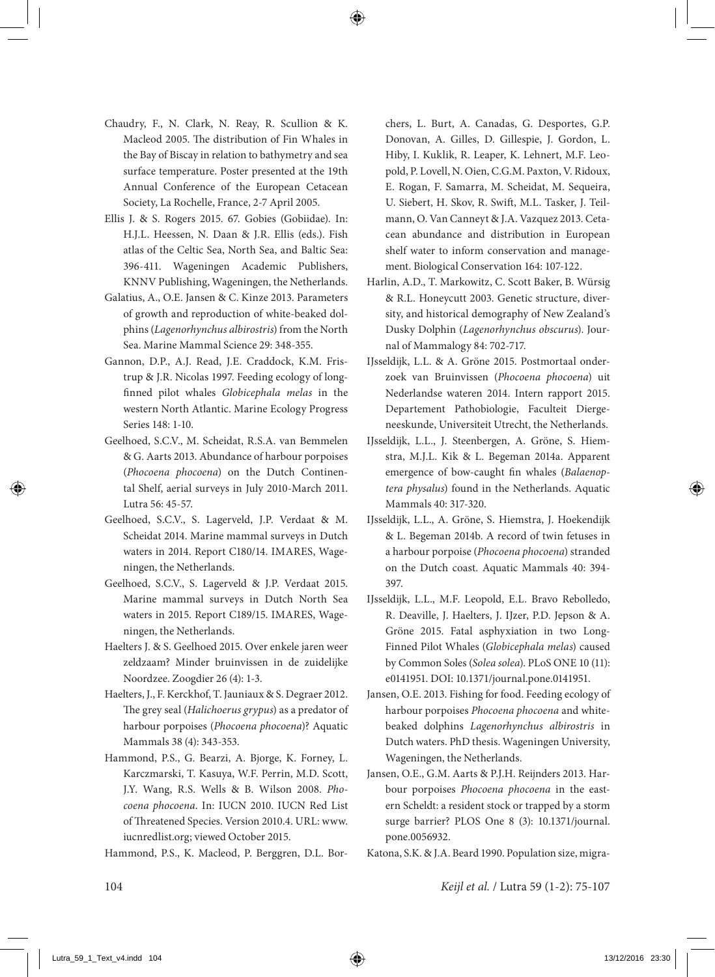- Chaudry, F., N. Clark, N. Reay, R. Scullion & K. Macleod 2005. The distribution of Fin Whales in the Bay of Biscay in relation to bathymetry and sea surface temperature. Poster presented at the 19th Annual Conference of the European Cetacean Society, La Rochelle, France, 2-7 April 2005.
- Ellis J. & S. Rogers 2015. 67. Gobies (Gobiidae). In: H.J.L. Heessen, N. Daan & J.R. Ellis (eds.). Fish atlas of the Celtic Sea, North Sea, and Baltic Sea: 396-411. Wageningen Academic Publishers, KNNV Publishing, Wageningen, the Netherlands.
- Galatius, A., O.E. Jansen & C. Kinze 2013. Parameters of growth and reproduction of white-beaked dolphins (*Lagenorhynchus albirostris*) from the North Sea. Marine Mammal Science 29: 348-355.
- Gannon, D.P., A.J. Read, J.E. Craddock, K.M. Fristrup & J.R. Nicolas 1997. Feeding ecology of longfinned pilot whales *Globicephala melas* in the western North Atlantic. Marine Ecology Progress Series 148: 1-10.
- Geelhoed, S.C.V., M. Scheidat, R.S.A. van Bemmelen & G. Aarts 2013. Abundance of harbour porpoises (*Phocoena phocoena*) on the Dutch Continental Shelf, aerial surveys in July 2010-March 2011. Lutra 56: 45-57.
- Geelhoed, S.C.V., S. Lagerveld, J.P. Verdaat & M. Scheidat 2014. Marine mammal surveys in Dutch waters in 2014. Report C180/14. IMARES, Wageningen, the Netherlands.
- Geelhoed, S.C.V., S. Lagerveld & J.P. Verdaat 2015. Marine mammal surveys in Dutch North Sea waters in 2015. Report C189/15. IMARES, Wageningen, the Netherlands.
- Haelters J. & S. Geelhoed 2015. Over enkele jaren weer zeldzaam? Minder bruinvissen in de zuidelijke Noordzee. Zoogdier 26 (4): 1-3.
- Haelters, J., F. Kerckhof, T. Jauniaux & S. Degraer 2012. The grey seal (*Halichoerus grypus*) as a predator of harbour porpoises (*Phocoena phocoena*)? Aquatic Mammals 38 (4): 343-353.
- Hammond, P.S., G. Bearzi, A. Bjorge, K. Forney, L. Karczmarski, T. Kasuya, W.F. Perrin, M.D. Scott, J.Y. Wang, R.S. Wells & B. Wilson 2008. *Phocoena phocoena*. In: IUCN 2010. IUCN Red List of Threatened Species. Version 2010.4. URL: www. iucnredlist.org; viewed October 2015.

Hammond, P.S., K. Macleod, P. Berggren, D.L. Bor-

chers, L. Burt, A. Canadas, G. Desportes, G.P. Donovan, A. Gilles, D. Gillespie, J. Gordon, L. Hiby, I. Kuklik, R. Leaper, K. Lehnert, M.F. Leopold, P. Lovell, N. Oien, C.G.M. Paxton, V. Ridoux, E. Rogan, F. Samarra, M. Scheidat, M. Sequeira, U. Siebert, H. Skov, R. Swift, M.L. Tasker, J. Teilmann, O. Van Canneyt & J.A. Vazquez 2013. Cetacean abundance and distribution in European shelf water to inform conservation and management. Biological Conservation 164: 107-122.

- Harlin, A.D., T. Markowitz, C. Scott Baker, B. Würsig & R.L. Honeycutt 2003. Genetic structure, diversity, and historical demography of New Zealand's Dusky Dolphin (*Lagenorhynchus obscurus*). Journal of Mammalogy 84: 702-717.
- IJsseldijk, L.L. & A. Gröne 2015. Postmortaal onderzoek van Bruinvissen (*Phocoena phocoena*) uit Nederlandse wateren 2014. Intern rapport 2015. Departement Pathobiologie, Faculteit Diergeneeskunde, Universiteit Utrecht, the Netherlands.
- IJsseldijk, L.L., J. Steenbergen, A. Gröne, S. Hiemstra, M.J.L. Kik & L. Begeman 2014a. Apparent emergence of bow-caught fin whales (*Balaenoptera physalus*) found in the Netherlands. Aquatic Mammals 40: 317-320.
- IJsseldijk, L.L., A. Gröne, S. Hiemstra, J. Hoekendijk & L. Begeman 2014b. A record of twin fetuses in a harbour porpoise (*Phocoena phocoena*) stranded on the Dutch coast. Aquatic Mammals 40: 394- 397.
- IJsseldijk, L.L., M.F. Leopold, E.L. Bravo Rebolledo, R. Deaville, J. Haelters, J. IJzer, P.D. Jepson & A. Gröne 2015. Fatal asphyxiation in two Long-Finned Pilot Whales (*Globicephala melas*) caused by Common Soles (*Solea solea*). PLoS ONE 10 (11): e0141951. DOI: 10.1371/journal.pone.0141951.
- Jansen, O.E. 2013. Fishing for food. Feeding ecology of harbour porpoises *Phocoena phocoena* and whitebeaked dolphins *Lagenorhynchus albirostris* in Dutch waters. PhD thesis. Wageningen University, Wageningen, the Netherlands.
- Jansen, O.E., G.M. Aarts & P.J.H. Reijnders 2013. Harbour porpoises *Phocoena phocoena* in the eastern Scheldt: a resident stock or trapped by a storm surge barrier? PLOS One 8 (3): 10.1371/journal. pone.0056932.

Katona, S.K. & J.A. Beard 1990. Population size, migra-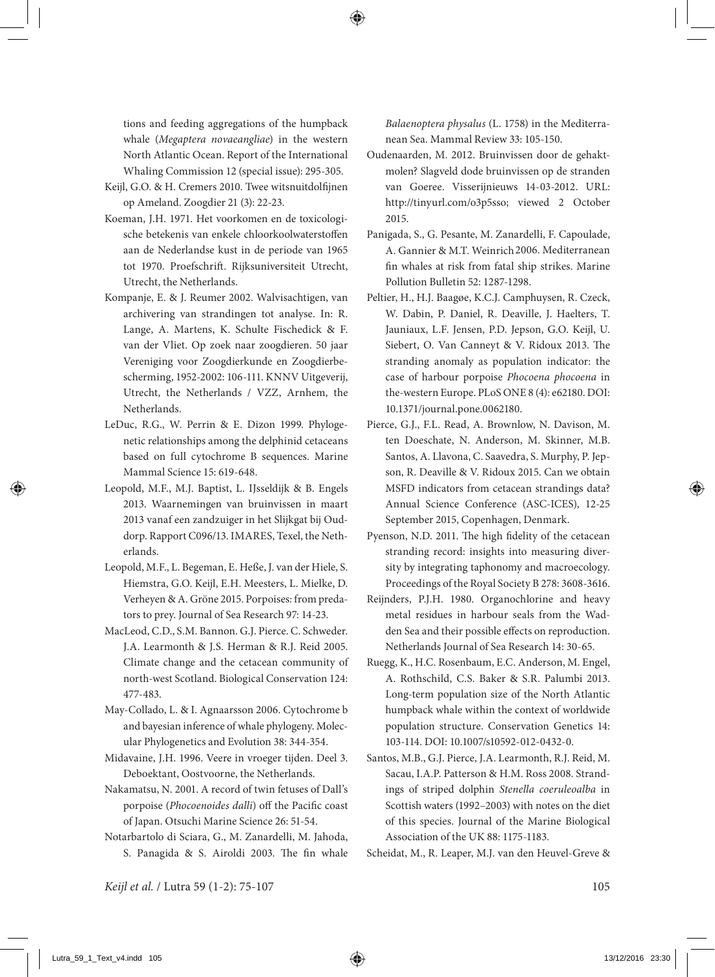tions and feeding aggregations of the humpback whale (*Megaptera novaeangliae*) in the western North Atlantic Ocean. Report of the International Whaling Commission 12 (special issue): 295-305.

- Keijl, G.O. & H. Cremers 2010. Twee witsnuitdolfijnen op Ameland. Zoogdier 21 (3): 22-23.
- Koeman, J.H. 1971. Het voorkomen en de toxicologische betekenis van enkele chloorkoolwaterstoffen aan de Nederlandse kust in de periode van 1965 tot 1970. Proefschrift. Rijksuniversiteit Utrecht, Utrecht, the Netherlands.
- Kompanje, E. & J. Reumer 2002. Walvisachtigen, van archivering van strandingen tot analyse. In: R. Lange, A. Martens, K. Schulte Fischedick & F. van der Vliet. Op zoek naar zoogdieren. 50 jaar Vereniging voor Zoogdierkunde en Zoogdierbescherming, 1952-2002: 106-111. KNNV Uitgeverij, Utrecht, the Netherlands / VZZ, Arnhem, the Netherlands.
- LeDuc, R.G., W. Perrin & E. Dizon 1999. Phylogenetic relationships among the delphinid cetaceans based on full cytochrome B sequences. Marine Mammal Science 15: 619-648.
- Leopold, M.F., M.J. Baptist, L. IJsseldijk & B. Engels 2013. Waarnemingen van bruinvissen in maart 2013 vanaf een zandzuiger in het Slijkgat bij Ouddorp. Rapport C096/13. IMARES, Texel, the Netherlands.
- Leopold, M.F., L. Begeman, E. Heße, J. van der Hiele, S. Hiemstra, G.O. Keijl, E.H. Meesters, L. Mielke, D. Verheyen & A. Gröne 2015. Porpoises: from predators to prey. Journal of Sea Research 97: 14-23.
- MacLeod, C.D., S.M. Bannon. G.J. Pierce. C. Schweder. J.A. Learmonth & J.S. Herman & R.J. Reid 2005. Climate change and the cetacean community of north-west Scotland. Biological Conservation 124: 477-483.
- May-Collado, L. & I. Agnaarsson 2006. Cytochrome b and bayesian inference of whale phylogeny. Molecular Phylogenetics and Evolution 38: 344-354.
- Midavaine, J.H. 1996. Veere in vroeger tijden. Deel 3. Deboektant, Oostvoorne, the Netherlands.
- Nakamatsu, N. 2001. A record of twin fetuses of Dall's porpoise (*Phocoenoides dalli*) off the Pacific coast of Japan. Otsuchi Marine Science 26: 51-54.
- Notarbartolo di Sciara, G., M. Zanardelli, M. Jahoda, S. Panagida & S. Airoldi 2003. The fin whale

*Balaenoptera physalus* (L. 1758) in the Mediterranean Sea. Mammal Review 33: 105-150.

- Oudenaarden, M. 2012. Bruinvissen door de gehaktmolen? Slagveld dode bruinvissen op de stranden van Goeree. Visserijnieuws 14-03-2012. URL: http://tinyurl.com/o3p5sso; viewed 2 October 2015.
- Panigada, S., G. Pesante, M. Zanardelli, F. Capoulade, A. Gannier & M.T. Weinrich2006. Mediterranean fin whales at risk from fatal ship strikes. Marine Pollution Bulletin 52: 1287-1298.
- Peltier, H., H.J. Baagøe, K.C.J. Camphuysen, R. Czeck, W. Dabin, P. Daniel, R. Deaville, J. Haelters, T. Jauniaux, L.F. Jensen, P.D. Jepson, G.O. Keijl, U. Siebert, O. Van Canneyt & V. Ridoux 2013. The stranding anomaly as population indicator: the case of harbour porpoise *Phocoena phocoena* in the-western Europe. PLoS ONE 8 (4): e62180. DOI: 10.1371/journal.pone.0062180.
- Pierce, G.J., F.L. Read, A. Brownlow, N. Davison, M. ten Doeschate, N. Anderson, M. Skinner, M.B. Santos, A. Llavona, C. Saavedra, S. Murphy, P. Jepson, R. Deaville & V. Ridoux 2015. Can we obtain MSFD indicators from cetacean strandings data? Annual Science Conference (ASC-ICES), 12-25 September 2015, Copenhagen, Denmark.
- Pyenson, N.D. 2011. The high fidelity of the cetacean stranding record: insights into measuring diversity by integrating taphonomy and macroecology. Proceedings of the Royal Society B 278: 3608-3616.
- Reijnders, P.J.H. 1980. Organochlorine and heavy metal residues in harbour seals from the Wadden Sea and their possible effects on reproduction. Netherlands Journal of Sea Research 14: 30-65.
- Ruegg, K., H.C. Rosenbaum, E.C. Anderson, M. Engel, A. Rothschild, C.S. Baker & S.R. Palumbi 2013. Long-term population size of the North Atlantic humpback whale within the context of worldwide population structure. Conservation Genetics 14: 103-114. DOI: 10.1007/s10592-012-0432-0.
- Santos, M.B., G.J. Pierce, J.A. Learmonth, R.J. Reid, M. Sacau, I.A.P. Patterson & H.M. Ross 2008. Strandings of striped dolphin *Stenella coeruleoalba* in Scottish waters (1992–2003) with notes on the diet of this species. Journal of the Marine Biological Association of the UK 88: 1175-1183.

Scheidat, M., R. Leaper, M.J. van den Heuvel-Greve &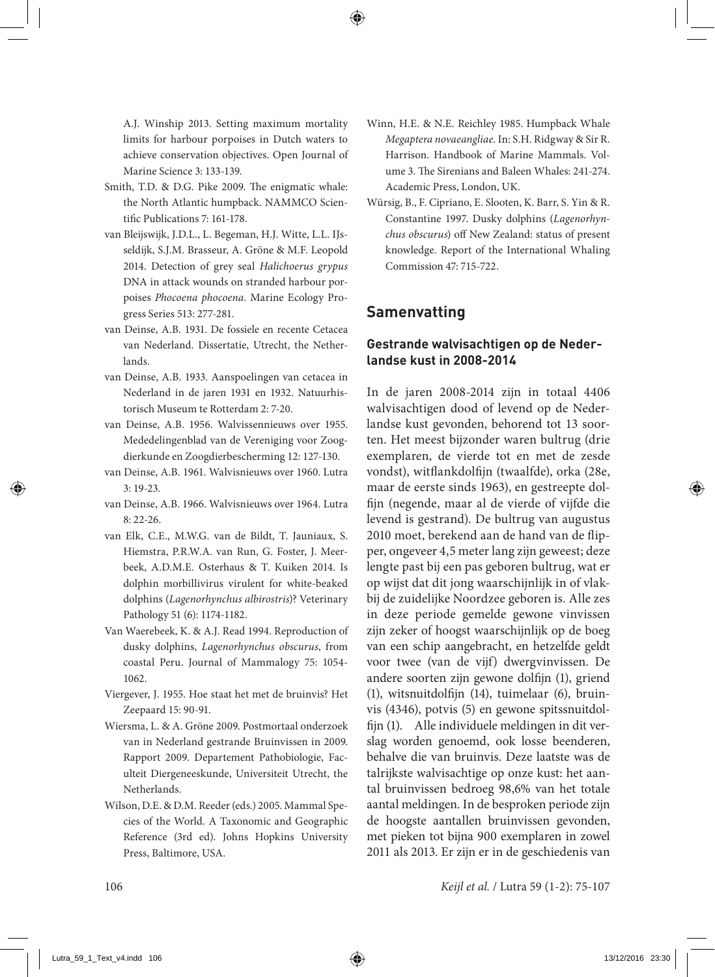A.J. Winship 2013. Setting maximum mortality limits for harbour porpoises in Dutch waters to achieve conservation objectives. Open Journal of Marine Science 3: 133-139.

- Smith, T.D. & D.G. Pike 2009. The enigmatic whale: the North Atlantic humpback. NAMMCO Scientific Publications 7: 161-178.
- van Bleijswijk, J.D.L., L. Begeman, H.J. Witte, L.L. IJsseldijk, S.J.M. Brasseur, A. Gröne & M.F. Leopold 2014. Detection of grey seal *Halichoerus grypus* DNA in attack wounds on stranded harbour porpoises *Phocoena phocoena*. Marine Ecology Progress Series 513: 277-281.
- van Deinse, A.B. 1931. De fossiele en recente Cetacea van Nederland. Dissertatie, Utrecht, the Netherlands.
- van Deinse, A.B. 1933. Aanspoelingen van cetacea in Nederland in de jaren 1931 en 1932. Natuurhistorisch Museum te Rotterdam 2: 7-20.
- van Deinse, A.B. 1956. Walvissennieuws over 1955. Mededelingenblad van de Vereniging voor Zoogdierkunde en Zoogdierbescherming 12: 127-130.
- van Deinse, A.B. 1961. Walvisnieuws over 1960. Lutra 3: 19-23.
- van Deinse, A.B. 1966. Walvisnieuws over 1964. Lutra 8: 22-26.
- van Elk, C.E., M.W.G. van de Bildt, T. Jauniaux, S. Hiemstra, P.R.W.A. van Run, G. Foster, J. Meerbeek, A.D.M.E. Osterhaus & T. Kuiken 2014. Is dolphin morbillivirus virulent for white-beaked dolphins (*Lagenorhynchus albirostris*)? Veterinary Pathology 51 (6): 1174-1182.
- Van Waerebeek, K. & A.J. Read 1994. Reproduction of dusky dolphins, *Lagenorhynchus obscurus*, from coastal Peru. Journal of Mammalogy 75: 1054- 1062.
- Viergever, J. 1955. Hoe staat het met de bruinvis? Het Zeepaard 15: 90-91.
- Wiersma, L. & A. Gröne 2009. Postmortaal onderzoek van in Nederland gestrande Bruinvissen in 2009. Rapport 2009. Departement Pathobiologie, Faculteit Diergeneeskunde, Universiteit Utrecht, the Netherlands.
- Wilson, D.E. & D.M. Reeder (eds.) 2005. Mammal Species of the World. A Taxonomic and Geographic Reference (3rd ed). Johns Hopkins University Press, Baltimore, USA.
- Winn, H.E. & N.E. Reichley 1985. Humpback Whale *Megaptera novaeangliae*. In: S.H. Ridgway & Sir R. Harrison. Handbook of Marine Mammals. Volume 3. The Sirenians and Baleen Whales: 241-274. Academic Press, London, UK.
- Würsig, B., F. Cipriano, E. Slooten, K. Barr, S. Yin & R. Constantine 1997. Dusky dolphins (*Lagenorhynchus obscurus*) off New Zealand: status of present knowledge. Report of the International Whaling Commission 47: 715-722.

## **Samenvatting**

### **Gestrande walvisachtigen op de Nederlandse kust in 2008-2014**

In de jaren 2008-2014 zijn in totaal 4406 walvisachtigen dood of levend op de Nederlandse kust gevonden, behorend tot 13 soorten. Het meest bijzonder waren bultrug (drie exemplaren, de vierde tot en met de zesde vondst), witflankdolfijn (twaalfde), orka (28e, maar de eerste sinds 1963), en gestreepte dolfijn (negende, maar al de vierde of vijfde die levend is gestrand). De bultrug van augustus 2010 moet, berekend aan de hand van de flipper, ongeveer 4,5 meter lang zijn geweest; deze lengte past bij een pas geboren bultrug, wat er op wijst dat dit jong waarschijnlijk in of vlakbij de zuidelijke Noordzee geboren is. Alle zes in deze periode gemelde gewone vinvissen zijn zeker of hoogst waarschijnlijk op de boeg van een schip aangebracht, en hetzelfde geldt voor twee (van de vijf) dwergvinvissen. De andere soorten zijn gewone dolfijn (1), griend (1), witsnuitdolfijn (14), tuimelaar (6), bruinvis (4346), potvis (5) en gewone spitssnuitdolfijn (1). Alle individuele meldingen in dit verslag worden genoemd, ook losse beenderen, behalve die van bruinvis. Deze laatste was de talrijkste walvisachtige op onze kust: het aantal bruinvissen bedroeg 98,6% van het totale aantal meldingen. In de besproken periode zijn de hoogste aantallen bruinvissen gevonden, met pieken tot bijna 900 exemplaren in zowel 2011 als 2013. Er zijn er in de geschiedenis van